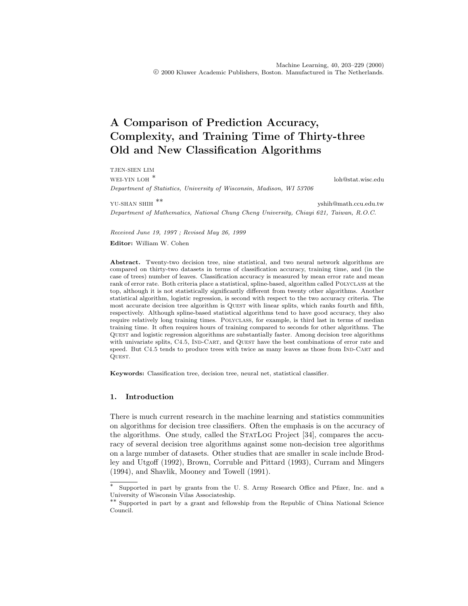# **A Comparison of Prediction Accuracy, Complexity, and Training Time of Thirty-three Old and New Classification Algorithms**

TJEN-SIEN LIM WEI-YIN LOH \* loh@stat.wisc.edu Department of Statistics, University of Wisconsin, Madison, WI 53706

YU-SHAN SHIH \*\* yshih@math.ccu.edu.tw Department of Mathematics, National Chung Cheng University, Chiayi 621, Taiwan, R.O.C.

Received June 19, 1997 ; Revised May 26, 1999

**Editor:** William W. Cohen

**Abstract.** Twenty-two decision tree, nine statistical, and two neural network algorithms are compared on thirty-two datasets in terms of classification accuracy, training time, and (in the case of trees) number of leaves. Classification accuracy is measured by mean error rate and mean rank of error rate. Both criteria place a statistical, spline-based, algorithm called POLYCLASS at the top, although it is not statistically significantly different from twenty other algorithms. Another statistical algorithm, logistic regression, is second with respect to the two accuracy criteria. The most accurate decision tree algorithm is QUEST with linear splits, which ranks fourth and fifth, respectively. Although spline-based statistical algorithms tend to have good accuracy, they also require relatively long training times. Polyclass, for example, is third last in terms of median training time. It often requires hours of training compared to seconds for other algorithms. The Quest and logistic regression algorithms are substantially faster. Among decision tree algorithms with univariate splits, C4.5, IND-CART, and QUEST have the best combinations of error rate and speed. But C4.5 tends to produce trees with twice as many leaves as those from IND-CART and Quest.

**Keywords:** Classification tree, decision tree, neural net, statistical classifier.

## **1. Introduction**

There is much current research in the machine learning and statistics communities on algorithms for decision tree classifiers. Often the emphasis is on the accuracy of the algorithms. One study, called the STATLOG Project [34], compares the accuracy of several decision tree algorithms against some non-decision tree algorithms on a large number of datasets. Other studies that are smaller in scale include Brodley and Utgoff (1992), Brown, Corruble and Pittard (1993), Curram and Mingers (1994), and Shavlik, Mooney and Towell (1991).

Supported in part by grants from the U. S. Army Research Office and Pfizer, Inc. and a University of Wisconsin Vilas Associateship.

<sup>\*\*</sup> Supported in part by a grant and fellowship from the Republic of China National Science Council.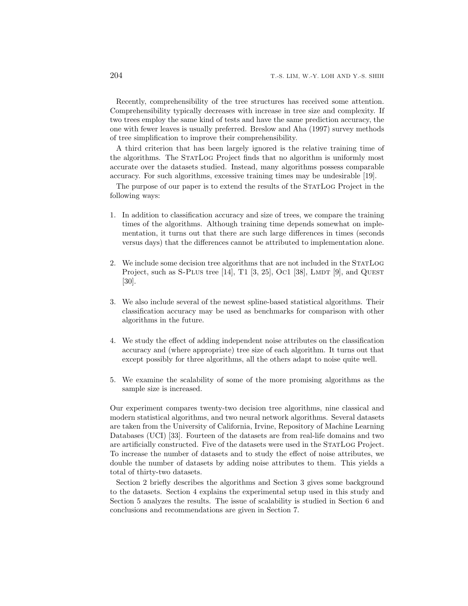Recently, comprehensibility of the tree structures has received some attention. Comprehensibility typically decreases with increase in tree size and complexity. If two trees employ the same kind of tests and have the same prediction accuracy, the one with fewer leaves is usually preferred. Breslow and Aha (1997) survey methods of tree simplification to improve their comprehensibility.

A third criterion that has been largely ignored is the relative training time of the algorithms. The STATLOG Project finds that no algorithm is uniformly most accurate over the datasets studied. Instead, many algorithms possess comparable accuracy. For such algorithms, excessive training times may be undesirable [19].

The purpose of our paper is to extend the results of the STATLOG Project in the following ways:

- 1. In addition to classification accuracy and size of trees, we compare the training times of the algorithms. Although training time depends somewhat on implementation, it turns out that there are such large differences in times (seconds versus days) that the differences cannot be attributed to implementation alone.
- 2. We include some decision tree algorithms that are not included in the STATLOG Project, such as S-PLUs tree [14], T1 [3, 25], Oc1 [38], LMDT [9], and QUEST [30].
- 3. We also include several of the newest spline-based statistical algorithms. Their classification accuracy may be used as benchmarks for comparison with other algorithms in the future.
- 4. We study the effect of adding independent noise attributes on the classification accuracy and (where appropriate) tree size of each algorithm. It turns out that except possibly for three algorithms, all the others adapt to noise quite well.
- 5. We examine the scalability of some of the more promising algorithms as the sample size is increased.

Our experiment compares twenty-two decision tree algorithms, nine classical and modern statistical algorithms, and two neural network algorithms. Several datasets are taken from the University of California, Irvine, Repository of Machine Learning Databases (UCI) [33]. Fourteen of the datasets are from real-life domains and two are artificially constructed. Five of the datasets were used in the STATLOG Project. To increase the number of datasets and to study the effect of noise attributes, we double the number of datasets by adding noise attributes to them. This yields a total of thirty-two datasets.

Section 2 briefly describes the algorithms and Section 3 gives some background to the datasets. Section 4 explains the experimental setup used in this study and Section 5 analyzes the results. The issue of scalability is studied in Section 6 and conclusions and recommendations are given in Section 7.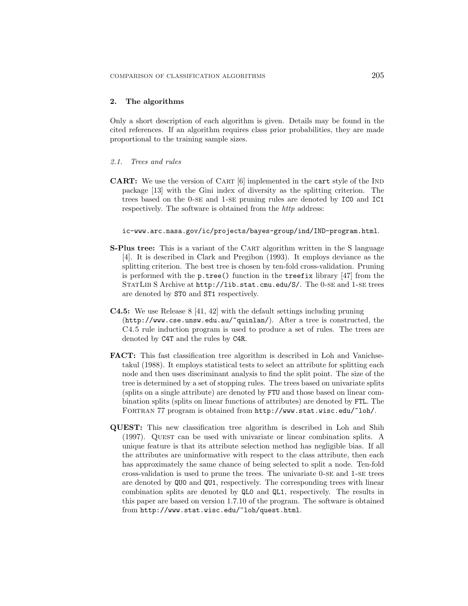# **2. The algorithms**

Only a short description of each algorithm is given. Details may be found in the cited references. If an algorithm requires class prior probabilities, they are made proportional to the training sample sizes.

#### *2.1. Trees and rules*

**CART:** We use the version of CART [6] implemented in the cart style of the IND package [13] with the Gini index of diversity as the splitting criterion. The trees based on the 0-se and 1-se pruning rules are denoted by IC0 and IC1 respectively. The software is obtained from the *http* address:

## ic-www.arc.nasa.gov/ic/projects/bayes-group/ind/IND-program.html.

- **S-Plus tree:** This is a variant of the CART algorithm written in the S language [4]. It is described in Clark and Pregibon (1993). It employs deviance as the splitting criterion. The best tree is chosen by ten-fold cross-validation. Pruning is performed with the p.tree() function in the treefix library [47] from the STATLIB S Archive at http://lib.stat.cmu.edu/S/. The 0-SE and 1-SE trees are denoted by ST0 and ST1 respectively.
- **C4.5:** We use Release 8 [41, 42] with the default settings including pruning (http://www.cse.unsw.edu.au/~quinlan/). After a tree is constructed, the C4.5 rule induction program is used to produce a set of rules. The trees are denoted by C4T and the rules by C4R.
- **FACT:** This fast classification tree algorithm is described in Loh and Vanichsetakul (1988). It employs statistical tests to select an attribute for splitting each node and then uses discriminant analysis to find the split point. The size of the tree is determined by a set of stopping rules. The trees based on univariate splits (splits on a single attribute) are denoted by FTU and those based on linear combination splits (splits on linear functions of attributes) are denoted by FTL. The FORTRAN 77 program is obtained from http://www.stat.wisc.edu/~loh/.
- **QUEST:** This new classification tree algorithm is described in Loh and Shih (1997). QUEST can be used with univariate or linear combination splits. A unique feature is that its attribute selection method has negligible bias. If all the attributes are uninformative with respect to the class attribute, then each has approximately the same chance of being selected to split a node. Ten-fold cross-validation is used to prune the trees. The univariate 0-se and 1-se trees are denoted by QU0 and QU1, respectively. The corresponding trees with linear combination splits are denoted by QL0 and QL1, respectively. The results in this paper are based on version 1.7.10 of the program. The software is obtained from http://www.stat.wisc.edu/~loh/quest.html.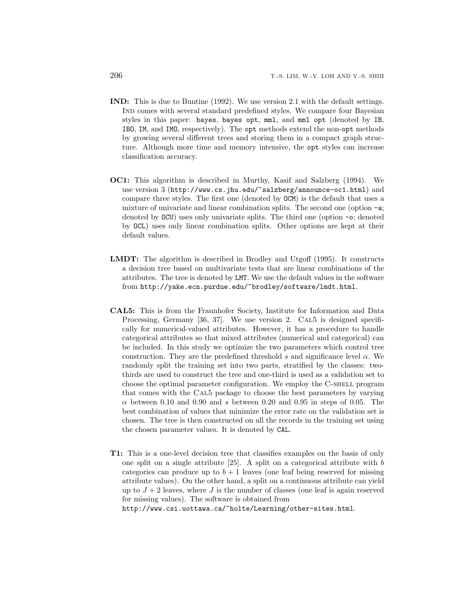- **IND:** This is due to Buntine (1992). We use version 2.1 with the default settings. Ind comes with several standard predefined styles. We compare four Bayesian styles in this paper: bayes, bayes opt, mml, and mml opt (denoted by IB, IBO, IM, and IMO, respectively). The opt methods extend the non-opt methods by growing several different trees and storing them in a compact graph structure. Although more time and memory intensive, the opt styles can increase classification accuracy.
- **OC1:** This algorithm is described in Murthy, Kasif and Salzberg (1994). We use version 3 (http://www.cs.jhu.edu/~salzberg/announce-oc1.html) and compare three styles. The first one (denoted by OCM) is the default that uses a mixture of univariate and linear combination splits. The second one (option -a; denoted by OCU) uses only univariate splits. The third one (option -o; denoted by OCL) uses only linear combination splits. Other options are kept at their default values.
- **LMDT:** The algorithm is described in Brodley and Utgoff (1995). It constructs a decision tree based on multivariate tests that are linear combinations of the attributes. The tree is denoted by LMT. We use the default values in the software from http://yake.ecn.purdue.edu/~brodley/software/lmdt.html.
- **CAL5:** This is from the Fraunhofer Society, Institute for Information and Data Processing, Germany [36, 37]. We use version 2. CAL5 is designed specifically for numerical-valued attributes. However, it has a procedure to handle categorical attributes so that mixed attributes (numerical and categorical) can be included. In this study we optimize the two parameters which control tree construction. They are the predefined threshold s and significance level  $\alpha$ . We randomly split the training set into two parts, stratified by the classes: twothirds are used to construct the tree and one-third is used as a validation set to choose the optimal parameter configuration. We employ the C-SHELL program that comes with the Cal5 package to choose the best parameters by varying  $\alpha$  between 0.10 and 0.90 and s between 0.20 and 0.95 in steps of 0.05. The best combination of values that minimize the error rate on the validation set is chosen. The tree is then constructed on all the records in the training set using the chosen parameter values. It is denoted by CAL.
- **T1:** This is a one-level decision tree that classifies examples on the basis of only one split on a single attribute  $[25]$ . A split on a categorical attribute with b categories can produce up to  $b + 1$  leaves (one leaf being reserved for missing attribute values). On the other hand, a split on a continuous attribute can yield up to  $J + 2$  leaves, where J is the number of classes (one leaf is again reserved for missing values). The software is obtained from http://www.csi.uottawa.ca/~holte/Learning/other-sites.html.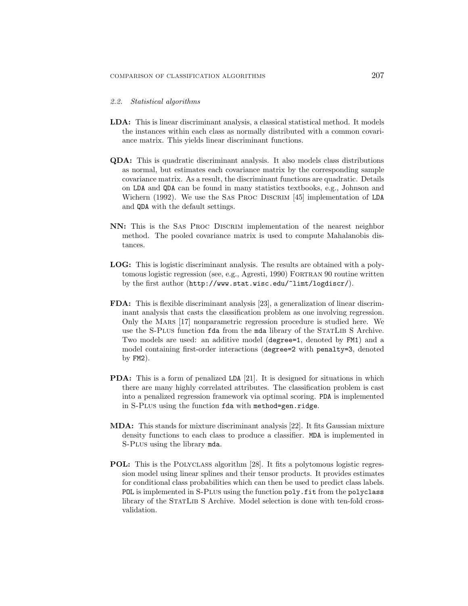#### *2.2. Statistical algorithms*

- **LDA:** This is linear discriminant analysis, a classical statistical method. It models the instances within each class as normally distributed with a common covariance matrix. This yields linear discriminant functions.
- **QDA:** This is quadratic discriminant analysis. It also models class distributions as normal, but estimates each covariance matrix by the corresponding sample covariance matrix. As a result, the discriminant functions are quadratic. Details on LDA and QDA can be found in many statistics textbooks, e.g., Johnson and Wichern (1992). We use the SAS PROC DISCRIM [45] implementation of LDA and QDA with the default settings.
- **NN:** This is the Sas Proc Discrim implementation of the nearest neighbor method. The pooled covariance matrix is used to compute Mahalanobis distances.
- **LOG:** This is logistic discriminant analysis. The results are obtained with a polytomous logistic regression (see, e.g., Agresti, 1990) Fortran 90 routine written by the first author (http://www.stat.wisc.edu/~limt/logdiscr/).
- **FDA:** This is flexible discriminant analysis [23], a generalization of linear discriminant analysis that casts the classification problem as one involving regression. Only the Mars [17] nonparametric regression procedure is studied here. We use the S-Plus function fda from the mda library of the STATLIB S Archive. Two models are used: an additive model (degree=1, denoted by FM1) and a model containing first-order interactions (degree=2 with penalty=3, denoted by FM2).
- **PDA:** This is a form of penalized LDA [21]. It is designed for situations in which there are many highly correlated attributes. The classification problem is cast into a penalized regression framework via optimal scoring. PDA is implemented in S-Plus using the function fda with method=gen.ridge.
- **MDA:** This stands for mixture discriminant analysis [22]. It fits Gaussian mixture density functions to each class to produce a classifier. MDA is implemented in S-Plus using the library mda.
- **POL:** This is the POLYCLASS algorithm [28]. It fits a polytomous logistic regression model using linear splines and their tensor products. It provides estimates for conditional class probabilities which can then be used to predict class labels. POL is implemented in S-PLUS using the function poly.fit from the polyclass library of the STATLIB S Archive. Model selection is done with ten-fold crossvalidation.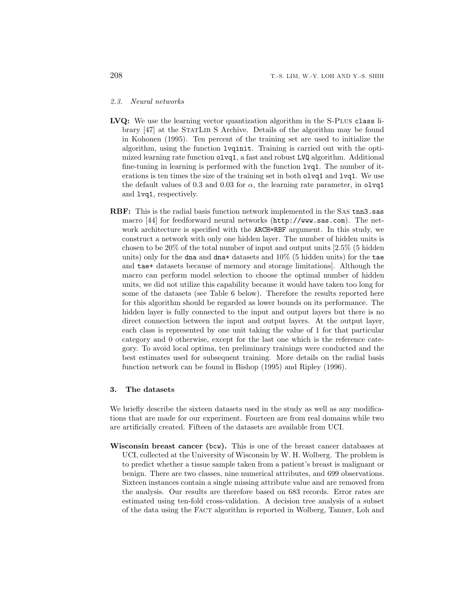#### *2.3. Neural networks*

- LVQ: We use the learning vector quantization algorithm in the S-PLUS class library [47] at the STATLIB S Archive. Details of the algorithm may be found in Kohonen (1995). Ten percent of the training set are used to initialize the algorithm, using the function lvqinit. Training is carried out with the optimized learning rate function olvq1, a fast and robust LVQ algorithm. Additional fine-tuning in learning is performed with the function lvq1. The number of iterations is ten times the size of the training set in both olvq1 and lvq1. We use the default values of 0.3 and 0.03 for  $\alpha$ , the learning rate parameter, in olvq1 and lvq1, respectively.
- **RBF:** This is the radial basis function network implemented in the SAS tnn3.sas macro [44] for feedforward neural networks (http://www.sas.com). The network architecture is specified with the ARCH=RBF argument. In this study, we construct a network with only one hidden layer. The number of hidden units is chosen to be 20% of the total number of input and output units [2.5% (5 hidden units) only for the dna and dna+ datasets and  $10\%$  (5 hidden units) for the tae and tae+ datasets because of memory and storage limitations]. Although the macro can perform model selection to choose the optimal number of hidden units, we did not utilize this capability because it would have taken too long for some of the datasets (see Table 6 below). Therefore the results reported here for this algorithm should be regarded as lower bounds on its performance. The hidden layer is fully connected to the input and output layers but there is no direct connection between the input and output layers. At the output layer, each class is represented by one unit taking the value of 1 for that particular category and 0 otherwise, except for the last one which is the reference category. To avoid local optima, ten preliminary trainings were conducted and the best estimates used for subsequent training. More details on the radial basis function network can be found in Bishop (1995) and Ripley (1996).

#### **3. The datasets**

We briefly describe the sixteen datasets used in the study as well as any modifications that are made for our experiment. Fourteen are from real domains while two are artificially created. Fifteen of the datasets are available from UCI.

**Wisconsin breast cancer (**bcw**).** This is one of the breast cancer databases at UCI, collected at the University of Wisconsin by W. H. Wolberg. The problem is to predict whether a tissue sample taken from a patient's breast is malignant or benign. There are two classes, nine numerical attributes, and 699 observations. Sixteen instances contain a single missing attribute value and are removed from the analysis. Our results are therefore based on 683 records. Error rates are estimated using ten-fold cross-validation. A decision tree analysis of a subset of the data using the Fact algorithm is reported in Wolberg, Tanner, Loh and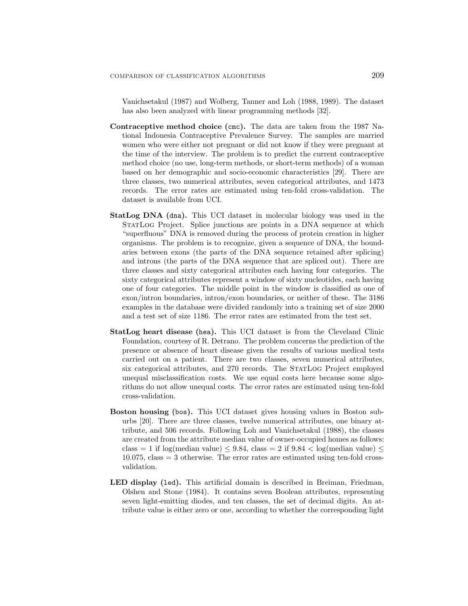Vanichsetakul (1987) and Wolberg, Tanner and Loh (1988, 1989). The dataset has also been analyzed with linear programming methods [32].

- **Contraceptive method choice (**cmc**).** The data are taken from the 1987 National Indonesia Contraceptive Prevalence Survey. The samples are married women who were either not pregnant or did not know if they were pregnant at the time of the interview. The problem is to predict the current contraceptive method choice (no use, long-term methods, or short-term methods) of a woman based on her demographic and socio-economic characteristics [29]. There are three classes, two numerical attributes, seven categorical attributes, and 1473 records. The error rates are estimated using ten-fold cross-validation. The dataset is available from UCI.
- **StatLog DNA (**dna**).** This UCI dataset in molecular biology was used in the STATLOG Project. Splice junctions are points in a DNA sequence at which "superfluous" DNA is removed during the process of protein creation in higher organisms. The problem is to recognize, given a sequence of DNA, the boundaries between exons (the parts of the DNA sequence retained after splicing) and introns (the parts of the DNA sequence that are spliced out). There are three classes and sixty categorical attributes each having four categories. The sixty categorical attributes represent a window of sixty nucleotides, each having one of four categories. The middle point in the window is classified as one of exon/intron boundaries, intron/exon boundaries, or neither of these. The 3186 examples in the database were divided randomly into a training set of size 2000 and a test set of size 1186. The error rates are estimated from the test set.
- **StatLog heart disease (**hea**).** This UCI dataset is from the Cleveland Clinic Foundation, courtesy of R. Detrano. The problem concerns the prediction of the presence or absence of heart disease given the results of various medical tests carried out on a patient. There are two classes, seven numerical attributes, six categorical attributes, and 270 records. The StatLog Project employed unequal misclassification costs. We use equal costs here because some algorithms do not allow unequal costs. The error rates are estimated using ten-fold cross-validation.
- **Boston housing (**bos**).** This UCI dataset gives housing values in Boston suburbs [20]. There are three classes, twelve numerical attributes, one binary attribute, and 506 records. Following Loh and Vanichsetakul (1988), the classes are created from the attribute median value of owner-occupied homes as follows: class = 1 if log(median value)  $\leq$  9.84, class = 2 if 9.84  $\lt$  log(median value)  $\leq$ 10.075, class = 3 otherwise. The error rates are estimated using ten-fold crossvalidation.
- **LED display (**led**).** This artificial domain is described in Breiman, Friedman, Olshen and Stone (1984). It contains seven Boolean attributes, representing seven light-emitting diodes, and ten classes, the set of decimal digits. An attribute value is either zero or one, according to whether the corresponding light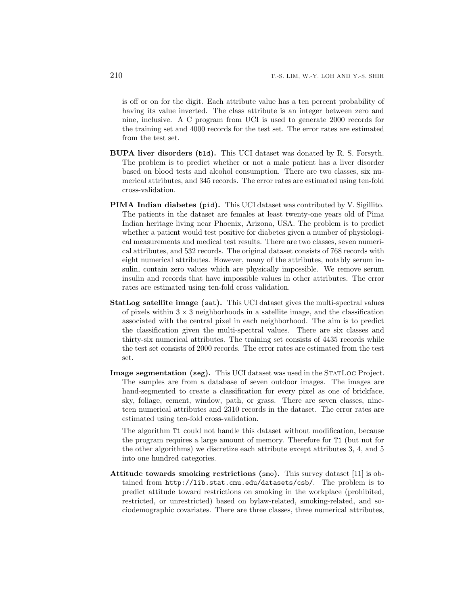is off or on for the digit. Each attribute value has a ten percent probability of having its value inverted. The class attribute is an integer between zero and nine, inclusive. A C program from UCI is used to generate 2000 records for the training set and 4000 records for the test set. The error rates are estimated from the test set.

- **BUPA liver disorders (**bld**).** This UCI dataset was donated by R. S. Forsyth. The problem is to predict whether or not a male patient has a liver disorder based on blood tests and alcohol consumption. There are two classes, six numerical attributes, and 345 records. The error rates are estimated using ten-fold cross-validation.
- **PIMA Indian diabetes (**pid**).** This UCI dataset was contributed by V. Sigillito. The patients in the dataset are females at least twenty-one years old of Pima Indian heritage living near Phoenix, Arizona, USA. The problem is to predict whether a patient would test positive for diabetes given a number of physiological measurements and medical test results. There are two classes, seven numerical attributes, and 532 records. The original dataset consists of 768 records with eight numerical attributes. However, many of the attributes, notably serum insulin, contain zero values which are physically impossible. We remove serum insulin and records that have impossible values in other attributes. The error rates are estimated using ten-fold cross validation.
- **StatLog satellite image (**sat**).** This UCI dataset gives the multi-spectral values of pixels within  $3 \times 3$  neighborhoods in a satellite image, and the classification associated with the central pixel in each neighborhood. The aim is to predict the classification given the multi-spectral values. There are six classes and thirty-six numerical attributes. The training set consists of 4435 records while the test set consists of 2000 records. The error rates are estimated from the test set.
- **Image segmentation (seg).** This UCI dataset was used in the STATLOG Project. The samples are from a database of seven outdoor images. The images are hand-segmented to create a classification for every pixel as one of brickface, sky, foliage, cement, window, path, or grass. There are seven classes, nineteen numerical attributes and 2310 records in the dataset. The error rates are estimated using ten-fold cross-validation.

The algorithm T1 could not handle this dataset without modification, because the program requires a large amount of memory. Therefore for T1 (but not for the other algorithms) we discretize each attribute except attributes 3, 4, and 5 into one hundred categories.

**Attitude towards smoking restrictions (**smo**).** This survey dataset [11] is obtained from http://lib.stat.cmu.edu/datasets/csb/. The problem is to predict attitude toward restrictions on smoking in the workplace (prohibited, restricted, or unrestricted) based on bylaw-related, smoking-related, and sociodemographic covariates. There are three classes, three numerical attributes,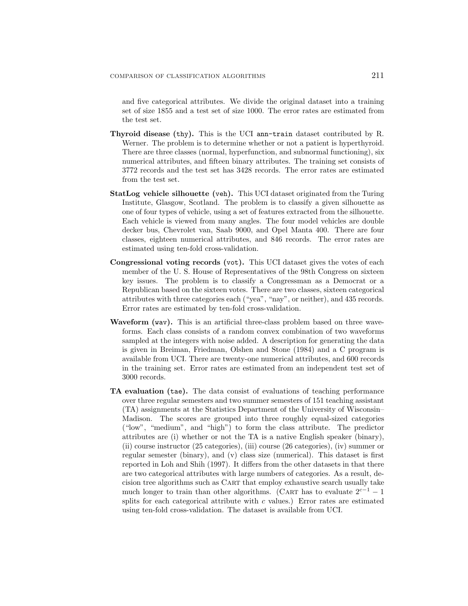and five categorical attributes. We divide the original dataset into a training set of size 1855 and a test set of size 1000. The error rates are estimated from the test set.

- **Thyroid disease (**thy**).** This is the UCI ann-train dataset contributed by R. Werner. The problem is to determine whether or not a patient is hyperthyroid. There are three classes (normal, hyperfunction, and subnormal functioning), six numerical attributes, and fifteen binary attributes. The training set consists of 3772 records and the test set has 3428 records. The error rates are estimated from the test set.
- **StatLog vehicle silhouette (**veh**).** This UCI dataset originated from the Turing Institute, Glasgow, Scotland. The problem is to classify a given silhouette as one of four types of vehicle, using a set of features extracted from the silhouette. Each vehicle is viewed from many angles. The four model vehicles are double decker bus, Chevrolet van, Saab 9000, and Opel Manta 400. There are four classes, eighteen numerical attributes, and 846 records. The error rates are estimated using ten-fold cross-validation.
- **Congressional voting records (**vot**).** This UCI dataset gives the votes of each member of the U. S. House of Representatives of the 98th Congress on sixteen key issues. The problem is to classify a Congressman as a Democrat or a Republican based on the sixteen votes. There are two classes, sixteen categorical attributes with three categories each ("yea", "nay", or neither), and 435 records. Error rates are estimated by ten-fold cross-validation.
- **Waveform (**wav**).** This is an artificial three-class problem based on three waveforms. Each class consists of a random convex combination of two waveforms sampled at the integers with noise added. A description for generating the data is given in Breiman, Friedman, Olshen and Stone (1984) and a C program is available from UCI. There are twenty-one numerical attributes, and 600 records in the training set. Error rates are estimated from an independent test set of 3000 records.
- **TA evaluation (**tae**).** The data consist of evaluations of teaching performance over three regular semesters and two summer semesters of 151 teaching assistant (TA) assignments at the Statistics Department of the University of Wisconsin– Madison. The scores are grouped into three roughly equal-sized categories ("low", "medium", and "high") to form the class attribute. The predictor attributes are (i) whether or not the TA is a native English speaker (binary), (ii) course instructor (25 categories), (iii) course (26 categories), (iv) summer or regular semester (binary), and (v) class size (numerical). This dataset is first reported in Loh and Shih (1997). It differs from the other datasets in that there are two categorical attributes with large numbers of categories. As a result, decision tree algorithms such as Cart that employ exhaustive search usually take much longer to train than other algorithms. (CART has to evaluate  $2^{c-1} - 1$ splits for each categorical attribute with  $c$  values.) Error rates are estimated using ten-fold cross-validation. The dataset is available from UCI.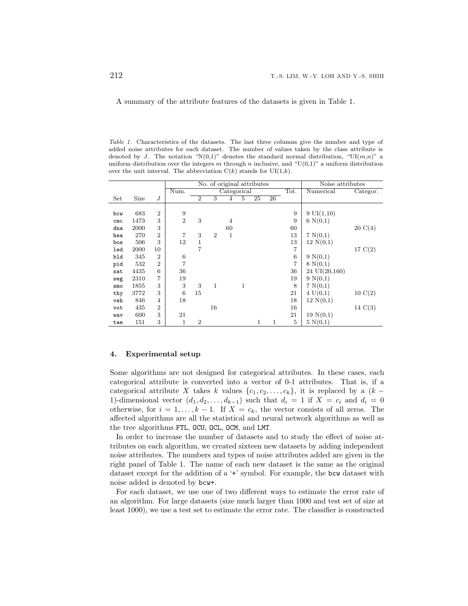A summary of the attribute features of the datasets is given in Table 1.

Table 1. Characteristics of the datasets. The last three columns give the number and type of added noise attributes for each dataset. The number of values taken by the class attribute is denoted by J. The notation "N(0,1)" denotes the standard normal distribution, "UI $(m,n)$ " a uniform distribution over the integers m through n inclusive, and " $U(0,1)$ " a uniform distribution over the unit interval. The abbreviation  $C(k)$  stands for  $UI(1,k)$ .

|                 |      |                |                |                |                | No. of original attributes |              |    |    |                | Noise attributes    |                   |
|-----------------|------|----------------|----------------|----------------|----------------|----------------------------|--------------|----|----|----------------|---------------------|-------------------|
|                 |      |                | Num.           |                |                | Categorical                |              |    |    | Tot.           | Numerical           | Categor.          |
| Set             | Size | J              |                | $\overline{2}$ | 3              | 4                          | 5            | 25 | 26 |                |                     |                   |
|                 |      |                |                |                |                |                            |              |    |    |                |                     |                   |
| bcw             | 683  | $\overline{2}$ | 9              |                |                |                            |              |    |    | 9              | $9 \text{UI}(1,10)$ |                   |
| cm <sub>c</sub> | 1473 | 3              | $\overline{2}$ | 3              |                | 4                          |              |    |    | 9              | 6 N(0,1)            |                   |
| dna             | 2000 | 3              |                |                |                | 60                         |              |    |    | 60             |                     | $20 \text{ C}(4)$ |
| hea             | 270  | $\overline{2}$ | 7              | 3              | $\overline{2}$ | $\mathbf{1}$               |              |    |    | 13             | 7 N(0,1)            |                   |
| bos             | 506  | 3              | 12             | 1              |                |                            |              |    |    | 13             | 12 N(0,1)           |                   |
| led             | 2000 | 10             |                | $\overline{7}$ |                |                            |              |    |    | $\overline{7}$ |                     | 17 C(2)           |
| bld             | 345  | $\overline{2}$ | 6              |                |                |                            |              |    |    | 6              | 9 N(0,1)            |                   |
| pid             | 532  | $\overline{2}$ | 7              |                |                |                            |              |    |    | $\overline{7}$ | 8 N(0,1)            |                   |
| sat             | 4435 | 6              | 36             |                |                |                            |              |    |    | 36             | 24 UI(20,160)       |                   |
| seg             | 2310 | $\overline{7}$ | 19             |                |                |                            |              |    |    | 19             | 9 N(0,1)            |                   |
| smo             | 1855 | 3              | 3              | 3              | $\mathbf{1}$   |                            | $\mathbf{1}$ |    |    | 8              | 7 N(0,1)            |                   |
| thy             | 3772 | 3              | 6              | 15             |                |                            |              |    |    | 21             | 4 U(0,1)            | $10 \text{ C}(2)$ |
| veh             | 846  | $\overline{4}$ | 18             |                |                |                            |              |    |    | 18             | 12 N(0,1)           |                   |
| vot             | 435  | $\overline{2}$ |                |                | 16             |                            |              |    |    | 16             |                     | $14 \text{ C}(3)$ |
| wav             | 600  | 3              | 21             |                |                |                            |              |    |    | 21             | 19 N(0,1)           |                   |
| tae             | 151  | 3              | $\mathbf{1}$   | $\overline{2}$ |                |                            |              | 1  | 1  | 5              | 5 N(0,1)            |                   |

#### **4. Experimental setup**

Some algorithms are not designed for categorical attributes. In these cases, each categorical attribute is converted into a vector of 0-1 attributes. That is, if a categorical attribute X takes k values  $\{c_1, c_2, \ldots, c_k\}$ , it is replaced by a  $(k -$ 1)-dimensional vector  $(d_1, d_2, \ldots, d_{k-1})$  such that  $d_i = 1$  if  $X = c_i$  and  $d_i = 0$ otherwise, for  $i = 1, \ldots, k-1$ . If  $X = c_k$ , the vector consists of all zeros. The affected algorithms are all the statistical and neural network algorithms as well as the tree algorithms FTL, OCU, OCL, OCM, and LMT.

In order to increase the number of datasets and to study the effect of noise attributes on each algorithm, we created sixteen new datasets by adding independent noise attributes. The numbers and types of noise attributes added are given in the right panel of Table 1. The name of each new dataset is the same as the original dataset except for the addition of a '+' symbol. For example, the bcw dataset with noise added is denoted by bcw+.

For each dataset, we use one of two different ways to estimate the error rate of an algorithm. For large datasets (size much larger than 1000 and test set of size at least 1000), we use a test set to estimate the error rate. The classifier is constructed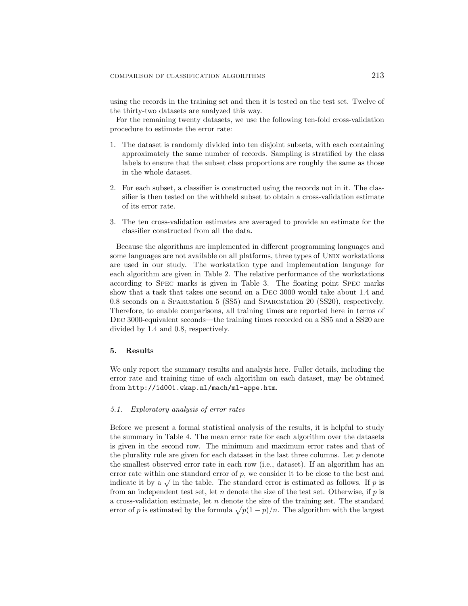using the records in the training set and then it is tested on the test set. Twelve of the thirty-two datasets are analyzed this way.

For the remaining twenty datasets, we use the following ten-fold cross-validation procedure to estimate the error rate:

- 1. The dataset is randomly divided into ten disjoint subsets, with each containing approximately the same number of records. Sampling is stratified by the class labels to ensure that the subset class proportions are roughly the same as those in the whole dataset.
- 2. For each subset, a classifier is constructed using the records not in it. The classifier is then tested on the withheld subset to obtain a cross-validation estimate of its error rate.
- 3. The ten cross-validation estimates are averaged to provide an estimate for the classifier constructed from all the data.

Because the algorithms are implemented in different programming languages and some languages are not available on all platforms, three types of Unix workstations are used in our study. The workstation type and implementation language for each algorithm are given in Table 2. The relative performance of the workstations according to Spec marks is given in Table 3. The floating point Spec marks show that a task that takes one second on a Dec 3000 would take about 1.4 and 0.8 seconds on a Sparcstation 5 (SS5) and Sparcstation 20 (SS20), respectively. Therefore, to enable comparisons, all training times are reported here in terms of Dec 3000-equivalent seconds—the training times recorded on a SS5 and a SS20 are divided by 1.4 and 0.8, respectively.

#### **5. Results**

We only report the summary results and analysis here. Fuller details, including the error rate and training time of each algorithm on each dataset, may be obtained from http://id001.wkap.nl/mach/ml-appe.htm.

#### *5.1. Exploratory analysis of error rates*

Before we present a formal statistical analysis of the results, it is helpful to study the summary in Table 4. The mean error rate for each algorithm over the datasets is given in the second row. The minimum and maximum error rates and that of the plurality rule are given for each dataset in the last three columns. Let  $p$  denote the smallest observed error rate in each row (i.e., dataset). If an algorithm has an error rate within one standard error of  $p$ , we consider it to be close to the best and indicate it by a  $\sqrt{ }$  in the table. The standard error is estimated as follows. If p is from an independent test set, let  $n$  denote the size of the test set. Otherwise, if  $p$  is a cross-validation estimate, let  $n$  denote the size of the training set. The standard error of p is estimated by the formula  $\sqrt{p(1 - p)/n}$ . The algorithm with the largest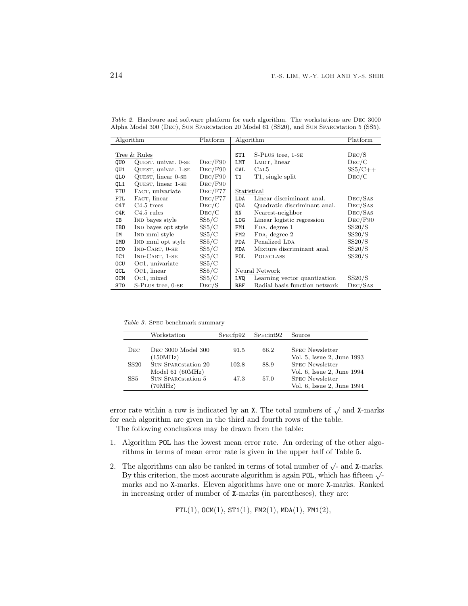| Algorithm       |                        | Platform | Algorithm       |                               | Platform  |
|-----------------|------------------------|----------|-----------------|-------------------------------|-----------|
|                 |                        |          |                 |                               |           |
|                 | Tree & Rules           |          | ST1             | S-PLUS tree, 1-SE             | Dec/S     |
| QUO             | QUEST, univar. $0$ -SE | Dec/F90  | LMT             | LMDT, linear                  | Dec/C     |
| QU1             | QUEST, univar. 1-SE    | Dec/F90  | CAL             | CAL5                          | $SS5/C++$ |
| QLO             | QUEST, linear 0-SE     | Dec/F90  | <b>T1</b>       | T1, single split              | Dec/C     |
| QL1             | QUEST, linear 1-SE     | Dec/F90  |                 |                               |           |
| FTU             | FACT, univariate       | Dec/F77  | Statistical     |                               |           |
| FTL             | FACT, linear           | Dec/F77  | LDA             | Linear discriminant anal.     | Dec/Sas   |
| C4T             | $C4.5$ trees           | Dec/C    | QDA             | Quadratic discriminant anal.  | Dec/Sas   |
| C4R             | $C4.5$ rules           | Dec/C    | NN              | Nearest-neighbor              | Dec/Sas   |
| IB              | IND bayes style        | SS5/C    | L <sub>OG</sub> | Linear logistic regression    | Dec/F90   |
| IB0             | IND bayes opt style    | SS5/C    | FM1             | FDA, degree 1                 | SS20/S    |
| IM              | IND mml style          | SS5/C    | FM <sub>2</sub> | FDA, degree 2                 | SS20/S    |
| IMO             | IND mml opt style      | SS5/C    | <b>PDA</b>      | Penalized LDA                 | SS20/S    |
| ICO             | $IND-CART, 0-SE$       | SS5/C    | MDA             | Mixture discriminant anal.    | SS20/S    |
| IC1             | $IND-CART, 1-SE$       | SS5/C    | POL             | <b>POLYCLASS</b>              | SS20/S    |
| <b>OCU</b>      | Oc1, univariate        | SS5/C    |                 |                               |           |
| OCL             | $Oc1$ , linear         | SS5/C    |                 | Neural Network                |           |
| <b>OCM</b>      | Oc1, mixed             | SS5/C    | LVQ             | Learning vector quantization  | SS20/S    |
| ST <sub>0</sub> | S-PLUS tree, 0-SE      | Dec/S    | RBF             | Radial basis function network | Dec/Sas   |

Table 2. Hardware and software platform for each algorithm. The workstations are Dec 3000 Alpha Model 300 (Dec), Sun Sparcstation 20 Model 61 (SS20), and Sun Sparcstation 5 (SS5).

Table 3. Spec benchmark summary

|                 | Workstation                                                | SPECfp92 | SPECint <sub>92</sub> | Source                                                                             |
|-----------------|------------------------------------------------------------|----------|-----------------------|------------------------------------------------------------------------------------|
| Dec             | DEC 3000 Model 300                                         | 91.5     | 66.2                  | <b>SPEC Newsletter</b>                                                             |
| <b>SS20</b>     | (150MHz)<br><b>SUN SPARCStation 20</b>                     | 102.8    | 88.9                  | Vol. 5, Issue 2, June 1993<br><b>SPEC Newsletter</b>                               |
| SS <sub>5</sub> | Model $61$ (60MHz)<br><b>SUN SPARCStation 5</b><br>(70MHz) | 47.3     | 57.0                  | Vol. 6, Issue 2, June 1994<br><b>SPEC Newsletter</b><br>Vol. 6, Issue 2, June 1994 |

error rate within a row is indicated by an X. The total numbers of  $\sqrt{ }$  and X-marks for each algorithm are given in the third and fourth rows of the table.

The following conclusions may be drawn from the table:

- 1. Algorithm POL has the lowest mean error rate. An ordering of the other algorithms in terms of mean error rate is given in the upper half of Table 5.
- 2. The algorithms can also be ranked in terms of total number of  $\sqrt{\cdot}$  and X-marks. By this criterion, the most accurate algorithm is again POL, which has fifteen  $\sqrt{\cdot}$ marks and no X-marks. Eleven algorithms have one or more X-marks. Ranked in increasing order of number of X-marks (in parentheses), they are:

 $FTL(1), OCM(1), ST1(1), FM2(1), MDA(1), FM1(2),$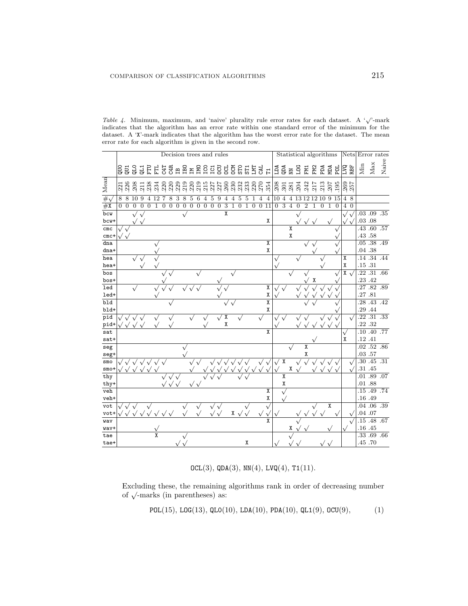|                 |                         |              |               |                |    |     |              |              | Decision trees and rules |                |                |                |              |                |                         |   |                |              |              |                |                         |                |                |                |              |                |            |                  | Statistical algorithms |              | Nets Error rates          |                             |                   |       |
|-----------------|-------------------------|--------------|---------------|----------------|----|-----|--------------|--------------|--------------------------|----------------|----------------|----------------|--------------|----------------|-------------------------|---|----------------|--------------|--------------|----------------|-------------------------|----------------|----------------|----------------|--------------|----------------|------------|------------------|------------------------|--------------|---------------------------|-----------------------------|-------------------|-------|
|                 |                         |              |               |                |    |     |              |              |                          |                |                |                |              |                |                         |   |                |              |              |                |                         |                |                |                |              | EM<br>EM       |            | PDA              | ЙŒИ                    |              | 品品                        | Min                         | Max               | Naive |
| Mean            | អ៊ី អ៊ី អ៊ី អ៊ី អ៊ី អ៊ី |              |               |                |    | 220 | 220          |              |                          |                |                |                |              |                |                         |   |                |              |              |                |                         | 8937           |                |                | .204         | .242           | 217        | .213             | $-207$                 | .195         | 269<br>257                |                             |                   |       |
| $#_1$           | 8<br>8                  | 10           | 9             | 4              | 12 |     | 8            | 3            | 8                        | $\overline{5}$ | $\,6$          | $\overline{4}$ | 5            | 9              | 4                       | 4 | 5              | 5            | 1            | $\overline{4}$ | 4                       | 10             | $\overline{4}$ | $\overline{4}$ | 13           | 1212           |            | 10               | 9                      | 15           | $\overline{4}$<br>8       |                             |                   |       |
| #X              | $\overline{0}$<br>0     | $\mathbf{0}$ | $\theta$      | $\overline{0}$ | 1  | 0   | $\mathbf{0}$ | $\mathbf{0}$ | $\overline{0}$           | $\mathbf{0}$   | $\overline{0}$ | $\mathbf{0}$   | $\mathbf{0}$ | $\overline{0}$ | 3                       | 1 | $\overline{0}$ | $\mathbf{1}$ | $\mathbf{0}$ | 011            |                         | $\overline{0}$ | 3              | $\overline{4}$ | $\mathbf{0}$ | $\overline{2}$ | 1          | $\boldsymbol{0}$ | 1                      | $\mathbf{0}$ | 40                        |                             |                   |       |
| bcw             |                         |              | $\mathbf \nu$ |                |    |     |              |              |                          |                |                |                |              |                | $\overline{\mathbf{x}}$ |   |                |              |              |                |                         |                |                |                |              |                |            |                  |                        |              | $\sqrt{ }$                | .03 .09                     |                   | .35   |
| bcw+            |                         |              |               |                |    |     |              |              |                          |                |                |                |              |                |                         |   |                |              |              |                | Χ                       |                |                |                |              |                |            |                  |                        |              |                           | .03 .08                     |                   |       |
| cm <sub>c</sub> |                         |              |               |                |    |     |              |              |                          |                |                |                |              |                |                         |   |                |              |              |                |                         |                |                |                |              |                |            |                  |                        |              |                           | .43                         | .60               | .57   |
| $cmc+$          |                         |              |               |                |    |     |              |              |                          |                |                |                |              |                |                         |   |                |              |              |                |                         |                |                | Χ              |              |                |            |                  |                        |              |                           | .43 .58                     |                   |       |
| dna             |                         |              |               |                |    |     |              |              |                          |                |                |                |              |                |                         |   |                |              |              |                | Χ                       |                |                |                |              |                |            |                  |                        |              |                           | .05                         | .38               | .49   |
| dna+            |                         |              |               |                |    |     |              |              |                          |                |                |                |              |                |                         |   |                |              |              |                | X                       |                |                |                |              |                |            |                  |                        |              |                           | .04 .38                     |                   |       |
| hea             |                         |              |               |                |    |     |              |              |                          |                |                |                |              |                |                         |   |                |              |              |                |                         |                |                |                |              |                |            |                  |                        |              | Х                         | .14                         | .34               | .44   |
| hea+            |                         |              |               |                |    |     |              |              |                          |                |                |                |              |                |                         |   |                |              |              |                |                         |                |                |                |              |                |            |                  |                        |              | X                         | .15 .31                     |                   |       |
| bos             |                         |              |               |                |    |     |              |              |                          |                |                |                |              |                |                         |   |                |              |              |                |                         |                |                |                |              |                |            |                  |                        |              | $\overline{X}$ $\sqrt{X}$ |                             | .22 .31 .66       |       |
| bos+            |                         |              |               |                |    |     |              |              |                          |                |                |                |              |                |                         |   |                |              |              |                |                         |                |                |                |              |                |            |                  |                        |              |                           | .23 .42                     |                   |       |
| led             |                         |              |               |                |    |     |              |              |                          |                |                |                |              |                |                         |   |                |              |              |                | $\overline{\mathbf{X}}$ |                |                |                |              |                |            |                  |                        |              |                           | .27                         | .82.89            |       |
| led+            |                         |              |               |                |    |     |              |              |                          |                |                |                |              |                |                         |   |                |              |              |                | Χ                       |                |                |                |              |                |            |                  |                        |              |                           | .27.81                      |                   |       |
| bld             |                         |              |               |                |    |     |              |              |                          |                |                |                |              |                |                         |   |                |              |              |                | $\overline{\mathbf{X}}$ |                |                |                |              |                |            |                  |                        |              |                           | .28                         | $.43$ $.42$       |       |
| bld+            |                         |              |               |                |    |     |              |              |                          |                |                |                |              |                |                         |   |                |              |              |                | Χ                       |                |                |                |              |                |            |                  |                        |              |                           | .29 .44                     |                   |       |
| pid             |                         |              |               |                |    |     |              |              |                          |                |                |                |              |                | Χ                       |   |                |              |              |                |                         |                |                |                |              |                |            |                  |                        |              | $\sqrt{ }$                |                             | $.22$ $.31$ $.33$ |       |
| pid+            |                         |              | $\mathbf{v}$  |                |    |     |              |              |                          |                |                |                |              |                | χ                       |   |                |              |              |                |                         |                |                |                |              |                | $\sqrt{ }$ | $\sqrt{}$        | $\sqrt{}$              |              |                           | .22 .32                     |                   |       |
| sat             |                         |              |               |                |    |     |              |              |                          |                |                |                |              |                |                         |   |                |              |              |                | $\overline{\mathbf{x}}$ |                |                |                |              |                |            |                  |                        |              |                           | .10                         | .40               | .77   |
| sat+            |                         |              |               |                |    |     |              |              |                          |                |                |                |              |                |                         |   |                |              |              |                |                         |                |                |                |              |                |            |                  |                        |              | X                         | .12 .41                     |                   |       |
| seg             |                         |              |               |                |    |     |              |              |                          |                |                |                |              |                |                         |   |                |              |              |                |                         |                |                |                |              | X              |            |                  |                        |              |                           |                             | .02.52.86         |       |
| seg+            |                         |              |               |                |    |     |              |              |                          |                |                |                |              |                |                         |   |                |              |              |                |                         |                |                |                |              | χ              |            |                  |                        |              |                           | .03 .57                     |                   |       |
| smo             |                         |              |               |                |    |     |              |              |                          |                |                |                |              |                |                         |   |                |              |              |                |                         |                | Χ              |                |              |                |            |                  |                        |              | $\sqrt{2}$                | $\overline{.30}$<br>.31 .45 | .45               | .31   |
| $smo+$          |                         |              |               |                |    |     |              |              |                          |                |                |                |              |                |                         |   |                |              |              |                |                         |                | X              | χ              |              |                |            |                  |                        |              |                           | .01 .89                     |                   | .07   |
| thy             |                         |              |               |                |    |     |              |              |                          |                |                |                |              |                |                         |   |                |              |              |                |                         |                | χ              |                |              |                |            |                  |                        |              |                           | .01.88                      |                   |       |
| thy+<br>veh     |                         |              |               |                |    |     |              |              |                          |                |                |                |              |                |                         |   |                |              |              |                | χ                       |                |                |                |              |                |            |                  |                        |              |                           | .15.49                      |                   | .74   |
| veh+            |                         |              |               |                |    |     |              |              |                          |                |                |                |              |                |                         |   |                |              |              |                | χ                       |                |                |                |              |                |            |                  |                        |              |                           | .16 .49                     |                   |       |
| vot             |                         |              |               |                |    |     |              |              |                          |                |                |                |              |                |                         |   |                |              |              |                |                         |                |                |                |              |                |            |                  | $\overline{X}$         |              |                           |                             | $.04$ $.06$ $.39$ |       |
| vot+            |                         |              |               |                |    |     |              |              |                          |                |                |                |              |                |                         | X |                |              |              |                |                         |                |                |                |              |                |            |                  |                        |              | $\mathbf \tilde$          | .04 .07                     |                   |       |
| wav             |                         |              |               |                |    |     |              |              |                          |                |                |                |              |                |                         |   |                |              |              |                |                         |                |                |                |              |                |            |                  |                        |              | <sup>1</sup>              |                             | .15 .48 .67       |       |
| wav+            |                         |              |               |                |    |     |              |              |                          |                |                |                |              |                |                         |   |                |              |              |                |                         |                |                | X              |              |                |            |                  |                        |              |                           | .16 .45                     |                   |       |
| tae             |                         |              |               |                | X  |     |              |              |                          |                |                |                |              |                |                         |   |                |              |              |                |                         |                |                |                |              |                |            |                  |                        |              |                           | .33.69                      |                   | .66   |
| tae+            |                         |              |               |                |    |     |              |              |                          |                |                |                |              |                |                         |   |                | X            |              |                |                         |                |                |                |              |                |            |                  |                        |              |                           | .45 .70                     |                   |       |

Table 4. Minimum, maximum, and 'naive' plurality rule error rates for each dataset. A '√'-mark indicates that the algorithm has an error rate within one standard error of the minimum for the dataset. A 'X'-mark indicates that the algorithm has the worst error rate for the dataset. The mean error rate for each algorithm is given in the second row.

 $OCL(3), QDA(3), NN(4), LVQ(4), T1(11).$ 

Excluding these, the remaining algorithms rank in order of decreasing number of  $\sqrt{\ }$ -marks (in parentheses) as:

POL(15), LOG(13), QLO(10), LDA(10), PDA(10), QL1(9), OCU(9), (1)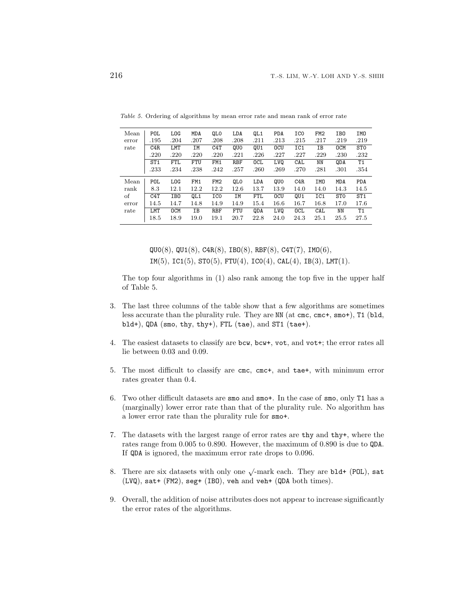| Mean  | <b>POL</b>      | <b>LOG</b>      | MDA             | QLO             | LDA  | QL1        | <b>PDA</b> | ICO        | FM <sub>2</sub> | IB0             | IM <sub>0</sub> |
|-------|-----------------|-----------------|-----------------|-----------------|------|------------|------------|------------|-----------------|-----------------|-----------------|
| error | .195            | .204            | .207            | .208            | .208 | .211       | .213       | .215       | .217            | .219            | .219            |
| rate  | C4R             | LMT             | IΜ              | C4T             | QUO  | QU1        | <b>OCU</b> | IC1        | IΒ              | <b>OCM</b>      | ST <sub>0</sub> |
|       | .220            | .220            | .220            | .220            | .221 | .226       | .227       | .227       | .229            | .230            | .232            |
|       | ST <sub>1</sub> | FTL             | FTU             | FM1             | RBF  | <b>OCL</b> | LV0        | CAL        | ΝN              | QDA             | T1              |
|       | .233            | .234            | .238            | .242            | .257 | .260       | .269       | .270       | .281            | .301            | .354            |
| Mean  | POL             | <b>LOG</b>      | FM1             | FM <sub>2</sub> | QLO  | LDA        | QUO        | C4R        | IMO             | MDA             | PDA             |
| rank  | 8.3             | 12.1            | 12.2            | 12.2            | 12.6 | 13.7       | 13.9       | 14.0       | 14.0            | 14.3            | 14.5            |
| οf    | C4T             | IB <sub>0</sub> | QL <sub>1</sub> | IC <sub>0</sub> | ΙM   | FTL        | <b>OCU</b> | QU1        | IC1             | ST <sub>0</sub> | ST <sub>1</sub> |
| error | 14.5            | 14.7            | 14.8            | 14.9            | 14.9 | 15.4       | 16.6       | 16.7       | 16.8            | 17.0            | 17.6            |
| rate  | LMT             | <b>OCM</b>      | IΒ              | RBF             | FTU  | <b>QDA</b> | LV0        | <b>OCL</b> | CAL             | ΝN              | T1              |
|       | 18.5            | 18.9            | 19.0            | 19.1            | 20.7 | 22.8       | 24.0       | 24.3       | 25.1            | 25.5            | 27.5            |

Table 5. Ordering of algorithms by mean error rate and mean rank of error rate

 $QU0(8)$ ,  $QU1(8)$ ,  $C4R(8)$ ,  $IB0(8)$ ,  $RBF(8)$ ,  $C4T(7)$ ,  $IM0(6)$ ,  $IM(5)$ ,  $IC1(5)$ ,  $ST0(5)$ ,  $FTU(4)$ ,  $ICO(4)$ ,  $CAL(4)$ ,  $IB(3)$ ,  $LMT(1)$ .

The top four algorithms in (1) also rank among the top five in the upper half of Table 5.

- 3. The last three columns of the table show that a few algorithms are sometimes less accurate than the plurality rule. They are NN (at cmc, cmc+, smo+), T1 (bld, bld+), QDA (smo, thy, thy+), FTL (tae), and ST1 (tae+).
- 4. The easiest datasets to classify are bcw, bcw+, vot, and vot+; the error rates all lie between 0.03 and 0.09.
- 5. The most difficult to classify are cmc, cmc+, and tae+, with minimum error rates greater than 0.4.
- 6. Two other difficult datasets are smo and smo+. In the case of smo, only T1 has a (marginally) lower error rate than that of the plurality rule. No algorithm has a lower error rate than the plurality rule for smo+.
- 7. The datasets with the largest range of error rates are thy and thy+, where the rates range from 0.005 to 0.890. However, the maximum of 0.890 is due to QDA. If QDA is ignored, the maximum error rate drops to 0.096.
- 8. There are six datasets with only one  $\sqrt{\ }$ -mark each. They are bld+ (POL), sat (LVQ), sat+ (FM2), seg+ (IBO), veh and veh+ (QDA both times).
- 9. Overall, the addition of noise attributes does not appear to increase significantly the error rates of the algorithms.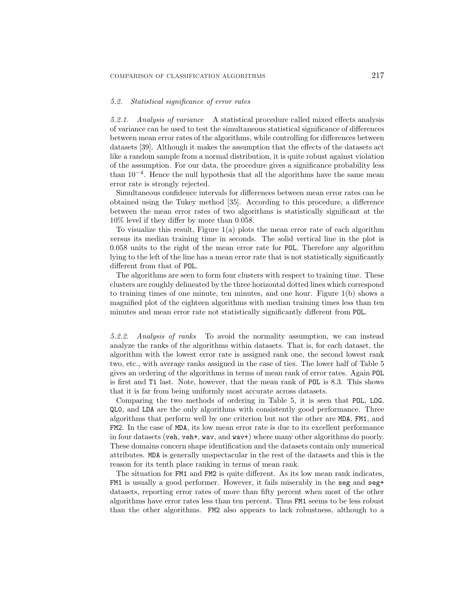#### *5.2. Statistical significance of error rates*

*5.2.1. Analysis of variance* A statistical procedure called mixed effects analysis of variance can be used to test the simultaneous statistical significance of differences between mean error rates of the algorithms, while controlling for differences between datasets [39]. Although it makes the assumption that the effects of the datasets act like a random sample from a normal distribution, it is quite robust against violation of the assumption. For our data, the procedure gives a significance probability less than  $10^{-4}$ . Hence the null hypothesis that all the algorithms have the same mean error rate is strongly rejected.

Simultaneous confidence intervals for differences between mean error rates can be obtained using the Tukey method [35]. According to this procedure, a difference between the mean error rates of two algorithms is statistically significant at the 10% level if they differ by more than 0.058.

To visualize this result, Figure 1(a) plots the mean error rate of each algorithm versus its median training time in seconds. The solid vertical line in the plot is 0.058 units to the right of the mean error rate for POL. Therefore any algorithm lying to the left of the line has a mean error rate that is not statistically significantly different from that of POL.

The algorithms are seen to form four clusters with respect to training time. These clusters are roughly delineated by the three horizontal dotted lines which correspond to training times of one minute, ten minutes, and one hour. Figure 1(b) shows a magnified plot of the eighteen algorithms with median training times less than ten minutes and mean error rate not statistically significantly different from POL.

*5.2.2. Analysis of ranks* To avoid the normality assumption, we can instead analyze the ranks of the algorithms within datasets. That is, for each dataset, the algorithm with the lowest error rate is assigned rank one, the second lowest rank two, etc., with average ranks assigned in the case of ties. The lower half of Table 5 gives an ordering of the algorithms in terms of mean rank of error rates. Again POL is first and T1 last. Note, however, that the mean rank of POL is 8.3. This shows that it is far from being uniformly most accurate across datasets.

Comparing the two methods of ordering in Table 5, it is seen that POL, LOG, QL0, and LDA are the only algorithms with consistently good performance. Three algorithms that perform well by one criterion but not the other are MDA, FM1, and FM2. In the case of MDA, its low mean error rate is due to its excellent performance in four datasets (veh, veh+, wav, and wav+) where many other algorithms do poorly. These domains concern shape identification and the datasets contain only numerical attributes. MDA is generally unspectacular in the rest of the datasets and this is the reason for its tenth place ranking in terms of mean rank.

The situation for FM1 and FM2 is quite different. As its low mean rank indicates, FM1 is usually a good performer. However, it fails miserably in the seg and seg+ datasets, reporting error rates of more than fifty percent when most of the other algorithms have error rates less than ten percent. Thus FM1 seems to be less robust than the other algorithms. FM2 also appears to lack robustness, although to a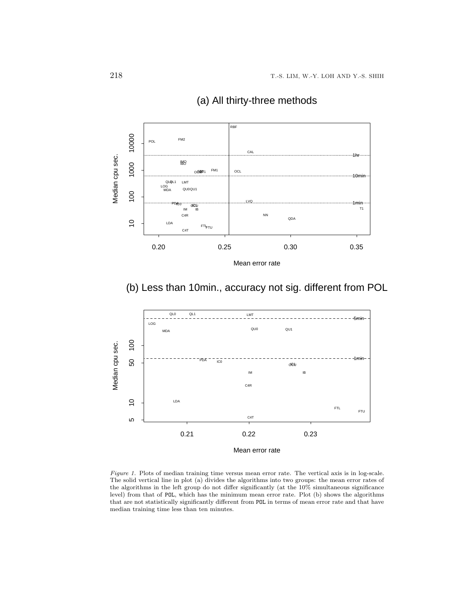

# (a) All thirty-three methods

(b) Less than 10min., accuracy not sig. different from POL



Figure 1. Plots of median training time versus mean error rate. The vertical axis is in log-scale. The solid vertical line in plot (a) divides the algorithms into two groups: the mean error rates of the algorithms in the left group do not differ significantly (at the 10% simultaneous significance level) from that of POL, which has the minimum mean error rate. Plot (b) shows the algorithms that are not statistically significantly different from POL in terms of mean error rate and that have median training time less than ten minutes.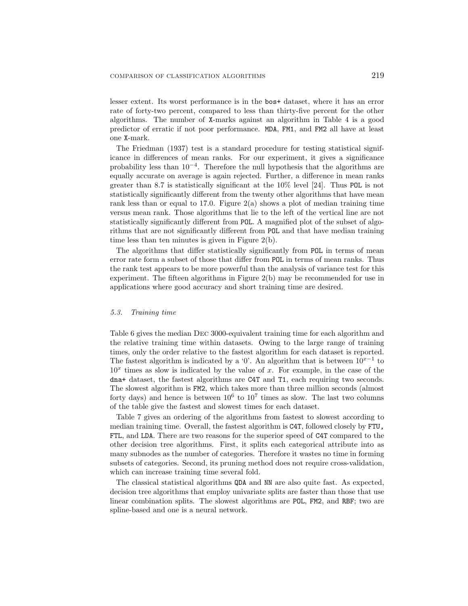lesser extent. Its worst performance is in the bos+ dataset, where it has an error rate of forty-two percent, compared to less than thirty-five percent for the other algorithms. The number of X-marks against an algorithm in Table 4 is a good predictor of erratic if not poor performance. MDA, FM1, and FM2 all have at least one X-mark.

The Friedman (1937) test is a standard procedure for testing statistical significance in differences of mean ranks. For our experiment, it gives a significance probability less than 10−<sup>4</sup>. Therefore the null hypothesis that the algorithms are equally accurate on average is again rejected. Further, a difference in mean ranks greater than 8.7 is statistically significant at the 10% level [24]. Thus POL is not statistically significantly different from the twenty other algorithms that have mean rank less than or equal to 17.0. Figure  $2(a)$  shows a plot of median training time versus mean rank. Those algorithms that lie to the left of the vertical line are not statistically significantly different from POL. A magnified plot of the subset of algorithms that are not significantly different from POL and that have median training time less than ten minutes is given in Figure 2(b).

The algorithms that differ statistically significantly from POL in terms of mean error rate form a subset of those that differ from POL in terms of mean ranks. Thus the rank test appears to be more powerful than the analysis of variance test for this experiment. The fifteen algorithms in Figure 2(b) may be recommended for use in applications where good accuracy and short training time are desired.

#### *5.3. Training time*

Table 6 gives the median Dec 3000-equivalent training time for each algorithm and the relative training time within datasets. Owing to the large range of training times, only the order relative to the fastest algorithm for each dataset is reported. The fastest algorithm is indicated by a '0'. An algorithm that is between  $10^{x-1}$  to  $10<sup>x</sup>$  times as slow is indicated by the value of x. For example, in the case of the dna+ dataset, the fastest algorithms are C4T and T1, each requiring two seconds. The slowest algorithm is FM2, which takes more than three million seconds (almost forty days) and hence is between  $10^6$  to  $10^7$  times as slow. The last two columns of the table give the fastest and slowest times for each dataset.

Table 7 gives an ordering of the algorithms from fastest to slowest according to median training time. Overall, the fastest algorithm is C4T, followed closely by FTU, FTL, and LDA. There are two reasons for the superior speed of C4T compared to the other decision tree algorithms. First, it splits each categorical attribute into as many subnodes as the number of categories. Therefore it wastes no time in forming subsets of categories. Second, its pruning method does not require cross-validation, which can increase training time several fold.

The classical statistical algorithms QDA and NN are also quite fast. As expected, decision tree algorithms that employ univariate splits are faster than those that use linear combination splits. The slowest algorithms are POL, FM2, and RBF; two are spline-based and one is a neural network.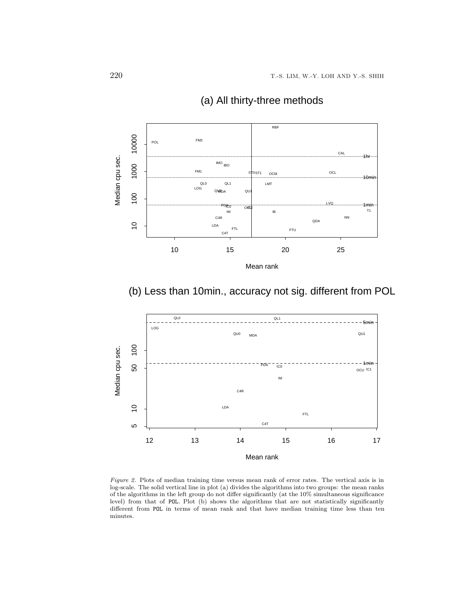

# (a) All thirty-three methods

(b) Less than 10min., accuracy not sig. different from POL



Figure 2. Plots of median training time versus mean rank of error rates. The vertical axis is in log-scale. The solid vertical line in plot (a) divides the algorithms into two groups: the mean ranks of the algorithms in the left group do not differ significantly (at the 10% simultaneous significance level) from that of POL. Plot (b) shows the algorithms that are not statistically significantly different from POL in terms of mean rank and that have median training time less than ten minutes.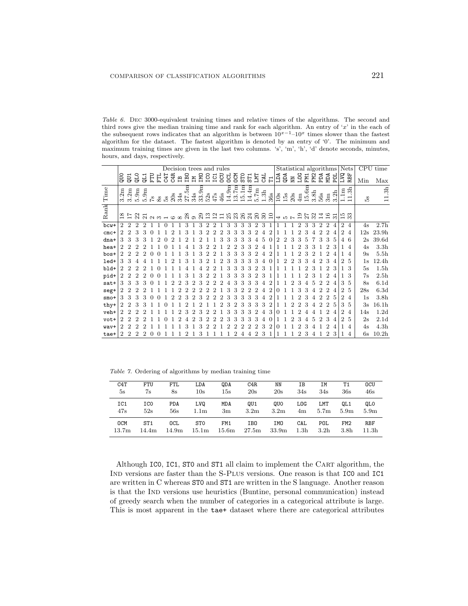Table 6. Dec 3000-equivalent training times and relative times of the algorithms. The second and third rows give the median training time and rank for each algorithm. An entry of 'x' in the each of the subsequent rows indicates that an algorithm is between  $10^{x-1}-10^{x}$  times slower than the fastest algorithm for the dataset. The fastest algorithm is denoted by an entry of '0'. The minimum and maximum training times are given in the last two columns. 's', 'm', 'h', 'd' denote seconds, minutes, hours, and days, respectively.

|             |                                    |                       |                |                |                                                                                                          |   |   | Decision trees and rules |               |     |              |                |                |            |                         |                         |                                   |                 |                |              |                                      |                 |     |                      |            |                 |                  |                |                |                |                                                                                                                                                                                                                                                                                                                                                                                                                                                               | Statistical algorithms Nets                                |     | CPU time          |
|-------------|------------------------------------|-----------------------|----------------|----------------|----------------------------------------------------------------------------------------------------------|---|---|--------------------------|---------------|-----|--------------|----------------|----------------|------------|-------------------------|-------------------------|-----------------------------------|-----------------|----------------|--------------|--------------------------------------|-----------------|-----|----------------------|------------|-----------------|------------------|----------------|----------------|----------------|---------------------------------------------------------------------------------------------------------------------------------------------------------------------------------------------------------------------------------------------------------------------------------------------------------------------------------------------------------------------------------------------------------------------------------------------------------------|------------------------------------------------------------|-----|-------------------|
|             | gno                                | Ę                     | ΟLΩ            | $\overline{a}$ | FTU                                                                                                      | Ë |   | <b>C4T</b><br>C4R        | m<br>En       | ГM  | <b>LWD</b>   |                | ICO<br>ICI     | <b>CCU</b> | <b>DOL</b>              | DCM                     | <b>STO</b>                        | ST <sub>1</sub> | LMT            | CAL          | $\overline{\phantom{0}}$<br>$\vdash$ | AC <sub>1</sub> | Фqb | $\mathbb N\mathbb N$ | <b>LOG</b> | FM <sub>1</sub> | FM <sub>2</sub>  |                |                |                | $\begin{array}{c}\n\text{A} \\ \text{B} \\ \text{C} \\ \text{D} \\ \text{D} \\ \text{E} \\ \text{E} \\ \text{E} \\ \text{E} \\ \text{E} \\ \text{E} \\ \text{E} \\ \text{E} \\ \text{E} \\ \text{E} \\ \text{E} \\ \text{E} \\ \text{E} \\ \text{E} \\ \text{E} \\ \text{E} \\ \text{E} \\ \text{E} \\ \text{E} \\ \text{E} \\ \text{E} \\ \text{E} \\ \text{E} \\ \text{E} \\ \text{E} \\ \text{E} \\ \text{E} \\ \text{E} \\ \text{E} \\ \text{E} \\ \text$ |                                                            | Min | Max               |
| $\rm{Time}$ | Ξ<br>$\mathbf{\Omega}$<br>$\infty$ | Ξ<br>$3.\overline{2}$ | Ξ<br>5.9       | Ξ<br>5.9       | $\mathbb{S}^1$                                                                                           |   |   | 8583                     | Ξ<br>LO<br>27 | 34s | Ħ<br>ာ<br>33 | $52\mathrm{s}$ | $47s$          | 46s        | £6<br>$\overline{14}$ . | $E_1$<br>$\frac{3}{13}$ | $\overline{1}$<br>$\frac{15}{11}$ | 14.4m           | 5.7m           | 3h           | 36s                                  | 10s             | 15s | 20s                  | 4m         | 15.6m           | 3.8 <sub>h</sub> | 56s            | 3m             | ᅺ<br>3.2       | Ξ<br>$\overline{\phantom{a}}$                                                                                                                                                                                                                                                                                                                                                                                                                                 | 3h<br>$\overline{\phantom{0}}$<br>$\overline{\phantom{0}}$ | ρŚ, | 3h<br>$\Box$      |
| Rank        |                                    | នគងន                  |                |                | $\overline{a}$ $\overline{a}$ $\overline{b}$ $\overline{c}$ $\overline{a}$ $\overline{b}$ $\overline{a}$ |   |   |                          |               |     |              |                |                |            |                         | and daaaaa              |                                   |                 |                | $\mathbb{S}$ | $\Xi$                                |                 | 405 |                      |            | 22              |                  | 궄              | $\frac{6}{1}$  | $\overline{3}$ | 10 က<br>⊣ ന                                                                                                                                                                                                                                                                                                                                                                                                                                                   |                                                            |     |                   |
| $bcw+$      | $\overline{2}$                     | $\overline{2}$        | $\overline{2}$ | $\overline{2}$ |                                                                                                          |   | 0 |                          | 3             |     | 3            | $\overline{2}$ | $\overline{2}$ |            | 3                       | 3                       | 3                                 | 3               | $\overline{2}$ | 3            |                                      |                 |     |                      | 2          | 3               | 3                | $\overline{2}$ | $\overline{2}$ | 4              | $\overline{2}$                                                                                                                                                                                                                                                                                                                                                                                                                                                | $\overline{4}$                                             | 4s  | 2.7 <sub>h</sub>  |
| $cmc+$      | 2                                  |                       | 3              | 3              |                                                                                                          |   |   |                          |               |     |              |                |                |            |                         |                         |                                   |                 |                |              |                                      |                 |     |                      |            |                 |                  |                |                |                | $\overline{2}$                                                                                                                                                                                                                                                                                                                                                                                                                                                | $\overline{4}$                                             | 12s | 23.9 <sub>h</sub> |
| dna+        | 3                                  | 3                     | 3              |                |                                                                                                          |   |   |                          |               |     |              |                |                |            |                         |                         |                                   |                 |                | 5            | $\Omega$                             | 9               |     |                      |            | 5               |                  |                | 3              | 5              | 4                                                                                                                                                                                                                                                                                                                                                                                                                                                             | 6                                                          | 2s  | 39.6d             |
| hea+        | 2                                  |                       |                |                |                                                                                                          |   |   |                          |               |     |              |                |                |            |                         |                         |                                   |                 |                |              |                                      |                 |     |                      |            |                 |                  |                | 2              |                | 1                                                                                                                                                                                                                                                                                                                                                                                                                                                             | 4                                                          | 4s  | 3.3 <sub>h</sub>  |
| $bos+$      | $\overline{2}$                     | 2                     |                |                |                                                                                                          |   |   |                          |               |     |              |                |                |            |                         |                         |                                   |                 | 2              |              |                                      |                 |     |                      |            |                 |                  |                |                |                |                                                                                                                                                                                                                                                                                                                                                                                                                                                               | 4                                                          | 9s  | 5.5 <sub>h</sub>  |
| $1ed+$      | 3                                  | 3                     |                |                |                                                                                                          |   |   |                          |               |     |              |                |                | 2          | З                       |                         | 3                                 |                 | 3              | 4            |                                      |                 |     |                      |            |                 |                  |                |                |                | $\overline{2}$                                                                                                                                                                                                                                                                                                                                                                                                                                                | $5\phantom{.0}$                                            | 1s  | 12.4 <sub>h</sub> |
| bld+        | 2                                  |                       |                |                |                                                                                                          |   |   |                          |               |     |              |                |                |            |                         |                         |                                   |                 |                |              |                                      |                 |     |                      |            |                 |                  |                |                | 3              | 1                                                                                                                                                                                                                                                                                                                                                                                                                                                             | 3                                                          | 5s  | 1.5 <sub>h</sub>  |
| pid+        | 2                                  |                       |                |                |                                                                                                          |   |   |                          |               |     |              |                |                |            | 3                       |                         | 3                                 |                 | 2              |              |                                      |                 |     |                      |            |                 |                  |                |                |                | 1                                                                                                                                                                                                                                                                                                                                                                                                                                                             | 3                                                          | 7s  | 2.5 <sub>h</sub>  |
| sat+        | 3                                  | З                     |                |                |                                                                                                          |   |   |                          |               |     |              |                |                |            |                         |                         |                                   |                 | 3              |              |                                      |                 |     |                      |            |                 |                  |                |                |                | 3                                                                                                                                                                                                                                                                                                                                                                                                                                                             | 5                                                          | 8s  | 6.1 <sub>d</sub>  |
| seg+        |                                    |                       |                |                |                                                                                                          |   |   |                          |               |     |              |                |                |            | 3                       |                         |                                   |                 |                |              |                                      |                 |     |                      |            | З               |                  |                |                |                | $\overline{2}$                                                                                                                                                                                                                                                                                                                                                                                                                                                | 5                                                          | 28s | 6.3d              |
| $smo+$      | 3                                  | З                     | 3              |                |                                                                                                          |   |   |                          |               |     |              |                |                |            |                         |                         |                                   |                 | 3              |              |                                      |                 |     |                      |            |                 |                  |                | 2              |                | $\overline{2}$                                                                                                                                                                                                                                                                                                                                                                                                                                                | $\overline{4}$                                             | 1s  | 3.8 <sub>h</sub>  |
| thy+        | 2                                  |                       |                |                |                                                                                                          |   |   |                          |               |     |              |                |                | 2          | 3                       |                         | 3                                 |                 | 3              | 3            | 2                                    |                 |     |                      |            | 3               |                  | 2              | 2              |                | 3                                                                                                                                                                                                                                                                                                                                                                                                                                                             | 5                                                          | 3s  | 16.1 <sub>h</sub> |
| veh+        | 2                                  |                       |                |                |                                                                                                          |   |   |                          |               |     |              |                |                |            |                         | 3                       | 3                                 |                 | 2              |              | 3                                    |                 |     |                      |            |                 |                  |                |                |                | $\overline{2}$                                                                                                                                                                                                                                                                                                                                                                                                                                                | $\overline{4}$                                             | 14s | 1.2d              |
| vot+        | 2                                  |                       |                |                |                                                                                                          |   |   |                          |               |     |              |                |                |            |                         |                         |                                   |                 | 3              |              |                                      |                 |     |                      |            |                 |                  |                | 3              |                | $\overline{2}$                                                                                                                                                                                                                                                                                                                                                                                                                                                | 5                                                          | 2s  | 2.1 <sub>d</sub>  |
| way+        | 2                                  |                       |                |                |                                                                                                          |   |   |                          |               |     |              |                |                |            |                         |                         |                                   |                 | 2              | 3            | $\overline{2}$                       |                 |     |                      |            |                 |                  |                |                |                |                                                                                                                                                                                                                                                                                                                                                                                                                                                               | 4                                                          | 4s  | 4.3 <sub>h</sub>  |
| tae+        | 2                                  | 2                     |                |                |                                                                                                          |   |   |                          |               |     |              |                |                |            |                         |                         |                                   |                 |                |              |                                      |                 |     |                      |            |                 |                  |                | 2              | 3              | 1                                                                                                                                                                                                                                                                                                                                                                                                                                                             | $\overline{4}$                                             | 6s  | 10.2 <sub>h</sub> |

Table 7. Ordering of algorithms by median training time

| C4T               | FTU             | FTL               | LDA               | <b>QDA</b>        | C4R              | NN                | ΙB               | IΜ               | Τ1               | <b>OCU</b>        |
|-------------------|-----------------|-------------------|-------------------|-------------------|------------------|-------------------|------------------|------------------|------------------|-------------------|
| 5s                | 7s              | 8s                | 10s               | 15s               | 20s              | 20s               | 34s              | 34s              | 36s              | 46s               |
|                   |                 |                   |                   |                   |                  |                   |                  |                  |                  |                   |
| IC1               | ICO             | PDA               | LV0               | MDA               | QU1              | QUO               | LOG              | LMT              | QL1              | QLO               |
| 47s               | 52s             | 56s               | 1.1m              | 3m                | 3.2 <sub>m</sub> | 3.2 <sub>m</sub>  | 4m               | 5.7 <sub>m</sub> | 5.9 <sub>m</sub> | 5.9 <sub>m</sub>  |
| <b>OCM</b>        | ST <sub>1</sub> | OCL               | ST <sub>0</sub>   | FM1               | IB <sub>0</sub>  | IMO               | CAL              | POL              | FM2              | RBF               |
| 13.7 <sub>m</sub> | 14.4m           | 14.9 <sub>m</sub> | 15.1 <sub>m</sub> | 15.6 <sub>m</sub> | 27.5m            | 33.9 <sub>m</sub> | 1.3 <sub>h</sub> | 3.2 <sub>h</sub> | 3.8 <sub>h</sub> | 11.3 <sub>h</sub> |

Although IC0, IC1, ST0 and ST1 all claim to implement the CART algorithm, the Ind versions are faster than the S-Plus versions. One reason is that IC0 and IC1 are written in C whereas ST0 and ST1 are written in the S language. Another reason is that the IND versions use heuristics (Buntine, personal communication) instead of greedy search when the number of categories in a categorical attribute is large. This is most apparent in the tae+ dataset where there are categorical attributes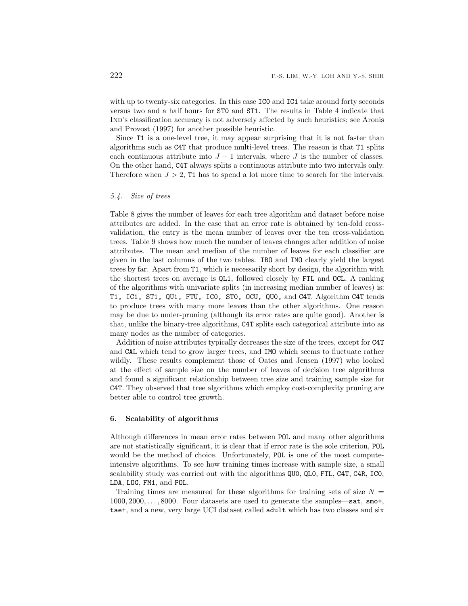with up to twenty-six categories. In this case IC0 and IC1 take around forty seconds versus two and a half hours for ST0 and ST1. The results in Table 4 indicate that Ind's classification accuracy is not adversely affected by such heuristics; see Aronis and Provost (1997) for another possible heuristic.

Since T1 is a one-level tree, it may appear surprising that it is not faster than algorithms such as C4T that produce multi-level trees. The reason is that T1 splits each continuous attribute into  $J + 1$  intervals, where J is the number of classes. On the other hand, C4T always splits a continuous attribute into two intervals only. Therefore when  $J > 2$ , T1 has to spend a lot more time to search for the intervals.

### *5.4. Size of trees*

Table 8 gives the number of leaves for each tree algorithm and dataset before noise attributes are added. In the case that an error rate is obtained by ten-fold crossvalidation, the entry is the mean number of leaves over the ten cross-validation trees. Table 9 shows how much the number of leaves changes after addition of noise attributes. The mean and median of the number of leaves for each classifier are given in the last columns of the two tables. IBO and IMO clearly yield the largest trees by far. Apart from T1, which is necessarily short by design, the algorithm with the shortest trees on average is QL1, followed closely by FTL and OCL. A ranking of the algorithms with univariate splits (in increasing median number of leaves) is: T1, IC1, ST1, QU1, FTU, IC0, ST0, OCU, QU0, and C4T. Algorithm C4T tends to produce trees with many more leaves than the other algorithms. One reason may be due to under-pruning (although its error rates are quite good). Another is that, unlike the binary-tree algorithms, C4T splits each categorical attribute into as many nodes as the number of categories.

Addition of noise attributes typically decreases the size of the trees, except for C4T and CAL which tend to grow larger trees, and IMO which seems to fluctuate rather wildly. These results complement those of Oates and Jensen (1997) who looked at the effect of sample size on the number of leaves of decision tree algorithms and found a significant relationship between tree size and training sample size for C4T. They observed that tree algorithms which employ cost-complexity pruning are better able to control tree growth.

# **6. Scalability of algorithms**

Although differences in mean error rates between POL and many other algorithms are not statistically significant, it is clear that if error rate is the sole criterion, POL would be the method of choice. Unfortunately, POL is one of the most computeintensive algorithms. To see how training times increase with sample size, a small scalability study was carried out with the algorithms QU0, QL0, FTL, C4T, C4R, IC0, LDA, LOG, FM1, and POL.

Training times are measured for these algorithms for training sets of size  $N =$  $1000, 2000, \ldots, 8000$ . Four datasets are used to generate the samples—sat, smo+, tae+, and a new, very large UCI dataset called adult which has two classes and six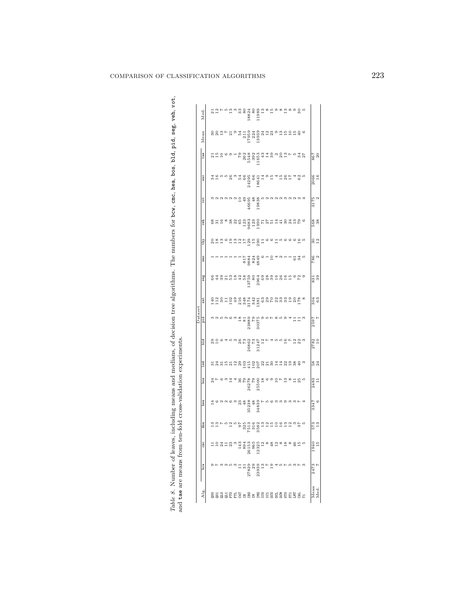|                                                                                                                                                     |                                                                                                                                                                                                                                                                                                                                                   |                                                                                                                                                                                                                                                                                                                     |           |                                                                                                                                                                                                                                                                                                                                                         |                         |               |                                                                                                                                                                                                                                                                                                                                                                                     | Dataset        |           |                                                         |          |                                                                                     |           |        |            |           |      |      |
|-----------------------------------------------------------------------------------------------------------------------------------------------------|---------------------------------------------------------------------------------------------------------------------------------------------------------------------------------------------------------------------------------------------------------------------------------------------------------------------------------------------------|---------------------------------------------------------------------------------------------------------------------------------------------------------------------------------------------------------------------------------------------------------------------------------------------------------------------|-----------|---------------------------------------------------------------------------------------------------------------------------------------------------------------------------------------------------------------------------------------------------------------------------------------------------------------------------------------------------------|-------------------------|---------------|-------------------------------------------------------------------------------------------------------------------------------------------------------------------------------------------------------------------------------------------------------------------------------------------------------------------------------------------------------------------------------------|----------------|-----------|---------------------------------------------------------|----------|-------------------------------------------------------------------------------------|-----------|--------|------------|-----------|------|------|
| Alg                                                                                                                                                 | noq                                                                                                                                                                                                                                                                                                                                               | Ĕ                                                                                                                                                                                                                                                                                                                   | dna       | hea                                                                                                                                                                                                                                                                                                                                                     | soq                     | $_{\tt led}$  | b1d                                                                                                                                                                                                                                                                                                                                                                                 | pid            | sat       | seg                                                     | smo      | thy                                                                                 | veh       | 10A    | vav        | tae       | Mean | Med. |
|                                                                                                                                                     |                                                                                                                                                                                                                                                                                                                                                   |                                                                                                                                                                                                                                                                                                                     |           |                                                                                                                                                                                                                                                                                                                                                         |                         |               |                                                                                                                                                                                                                                                                                                                                                                                     |                |           |                                                         |          |                                                                                     |           |        |            |           |      |      |
| $\overline{a}$ and $\overline{a}$ and $\overline{a}$ and $\overline{a}$ and $\overline{a}$ and $\overline{a}$ and $\overline{a}$ and $\overline{a}$ |                                                                                                                                                                                                                                                                                                                                                   |                                                                                                                                                                                                                                                                                                                     |           | $\begin{smallmatrix} 1\hskip -2pt 0\hskip 2pt 0\hskip 2pt 0\hskip 2pt 1\hskip 2pt 0\hskip 2pt 0\hskip 2pt 0\hskip 2pt 0\hskip 2pt 0\hskip 2pt 0\hskip 2pt 0\hskip 2pt 0\hskip 2pt 0\hskip 2pt 0\hskip 2pt 0\hskip 2pt 0\hskip 2pt 0\hskip 2pt 0\hskip 2pt 0\hskip 2pt 0\hskip 2pt 0\hskip 2pt 0\hskip 2pt 0\hskip 2pt 0\hskip 2pt 0\hskip 2pt 0\hskip $ | $\frac{4}{9}$ r $\circ$ |               | ನಿದ್ದೂ                                                                                                                                                                                                                                                                                                                                                                              |                |           | a a<br>cawaratho cocountat Lo<br>cawaratho cacountat Lo |          | a xin a bhann an chunadh<br>Can an bhann an chunadh                                 |           |        |            | 75200     |      |      |
|                                                                                                                                                     |                                                                                                                                                                                                                                                                                                                                                   |                                                                                                                                                                                                                                                                                                                     |           |                                                                                                                                                                                                                                                                                                                                                         |                         |               |                                                                                                                                                                                                                                                                                                                                                                                     |                |           |                                                         |          |                                                                                     |           |        |            |           |      |      |
|                                                                                                                                                     |                                                                                                                                                                                                                                                                                                                                                   |                                                                                                                                                                                                                                                                                                                     |           |                                                                                                                                                                                                                                                                                                                                                         |                         |               |                                                                                                                                                                                                                                                                                                                                                                                     |                |           |                                                         |          |                                                                                     |           |        |            |           |      |      |
|                                                                                                                                                     |                                                                                                                                                                                                                                                                                                                                                   |                                                                                                                                                                                                                                                                                                                     |           |                                                                                                                                                                                                                                                                                                                                                         |                         |               |                                                                                                                                                                                                                                                                                                                                                                                     |                |           |                                                         |          |                                                                                     |           |        |            |           |      |      |
|                                                                                                                                                     |                                                                                                                                                                                                                                                                                                                                                   |                                                                                                                                                                                                                                                                                                                     |           |                                                                                                                                                                                                                                                                                                                                                         |                         |               |                                                                                                                                                                                                                                                                                                                                                                                     |                |           |                                                         |          |                                                                                     |           |        |            |           |      |      |
|                                                                                                                                                     |                                                                                                                                                                                                                                                                                                                                                   |                                                                                                                                                                                                                                                                                                                     |           |                                                                                                                                                                                                                                                                                                                                                         |                         |               |                                                                                                                                                                                                                                                                                                                                                                                     |                |           |                                                         |          |                                                                                     |           |        |            |           |      |      |
|                                                                                                                                                     |                                                                                                                                                                                                                                                                                                                                                   |                                                                                                                                                                                                                                                                                                                     |           |                                                                                                                                                                                                                                                                                                                                                         |                         |               |                                                                                                                                                                                                                                                                                                                                                                                     |                |           |                                                         |          |                                                                                     |           |        |            |           |      |      |
|                                                                                                                                                     | $\begin{array}{l} 11 \\ 21 \\ 21 \\ 23 \\ 23 \\ 23 \\ 24 \\ 25 \\ 26 \\ 28 \\ 29 \\ 21 \\ 22 \\ 23 \\ 24 \\ 25 \\ 26 \\ 27 \\ 28 \\ 29 \\ 21 \\ 23 \\ 24 \\ 25 \\ 26 \\ 27 \\ 28 \\ 29 \\ 20 \\ 21 \\ 24 \\ 25 \\ 26 \\ 27 \\ 28 \\ 29 \\ 29 \\ 21 \\ 22 \\ 23 \\ 24 \\ 25 \\ 26 \\ 27 \\ 28 \\ 29 \\ 29 \\ 21 \\ 25 \\ 27 \\ 28 \\ 29 \\ 29 \\ $ | $\begin{smallmatrix} & 3\\ 3\\ 4\\ 3\\ 6\\ 1\\ 2\\ 6\\ 1\\ 2\\ 3\\ 1\\ 2\\ 3\\ 1\\ 2\\ 3\\ 1\\ 2\\ 3\\ 1\\ 2\\ 3\\ 1\\ 2\\ 3\\ 1\\ 2\\ 3\\ 1\\ 2\\ 3\\ 1\\ 2\\ 3\\ 1\\ 2\\ 3\\ 4\\ 3\\ 4\\ 4\\ 5\\ 6\\ 6\\ 7\\ 8\\ 9\\ 1\\ 2\\ 4\\ 3\\ 4\\ 4\\ 4\\ 5\\ 6\\ 6\\ 1\\ 2\\ 4\\ 5\\ 6\\ 6\\ 7\\ 1\\ 2\\ 3\\ 4\\ 4\\ 4\\$ |           |                                                                                                                                                                                                                                                                                                                                                         |                         |               | $\begin{array}{r} \mathbf{1} & \mathbf{0} & \mathbf{0} & \mathbf{0} & \mathbf{0} \\ \mathbf{1} & \mathbf{0} & \mathbf{0} & \mathbf{0} & \mathbf{0} \\ \mathbf{0} & \mathbf{0} & \mathbf{0} & \mathbf{0} \\ \mathbf{0} & \mathbf{0} & \mathbf{0} & \mathbf{0} \\ \mathbf{0} & \mathbf{0} & \mathbf{0} & \mathbf{0} \\ \mathbf{0} & \mathbf{0} & \mathbf{0} & \mathbf{0} \end{array}$ |                |           |                                                         |          |                                                                                     |           |        |            |           |      |      |
|                                                                                                                                                     |                                                                                                                                                                                                                                                                                                                                                   |                                                                                                                                                                                                                                                                                                                     |           |                                                                                                                                                                                                                                                                                                                                                         |                         |               |                                                                                                                                                                                                                                                                                                                                                                                     |                |           |                                                         |          |                                                                                     |           |        |            |           |      |      |
|                                                                                                                                                     |                                                                                                                                                                                                                                                                                                                                                   |                                                                                                                                                                                                                                                                                                                     |           |                                                                                                                                                                                                                                                                                                                                                         |                         |               |                                                                                                                                                                                                                                                                                                                                                                                     |                |           |                                                         |          |                                                                                     |           |        |            |           |      |      |
|                                                                                                                                                     |                                                                                                                                                                                                                                                                                                                                                   |                                                                                                                                                                                                                                                                                                                     |           |                                                                                                                                                                                                                                                                                                                                                         |                         |               |                                                                                                                                                                                                                                                                                                                                                                                     |                |           |                                                         |          |                                                                                     |           |        |            |           |      |      |
|                                                                                                                                                     |                                                                                                                                                                                                                                                                                                                                                   |                                                                                                                                                                                                                                                                                                                     |           |                                                                                                                                                                                                                                                                                                                                                         |                         |               |                                                                                                                                                                                                                                                                                                                                                                                     |                |           |                                                         |          |                                                                                     |           |        |            |           |      |      |
|                                                                                                                                                     |                                                                                                                                                                                                                                                                                                                                                   |                                                                                                                                                                                                                                                                                                                     |           |                                                                                                                                                                                                                                                                                                                                                         |                         |               |                                                                                                                                                                                                                                                                                                                                                                                     |                |           |                                                         |          | $\begin{array}{c} 0 & 0 & -1 \\ 0 & 0 & 0 \\ 0 & 0 & 0 \\ 0 & 0 & 0 \\ \end{array}$ |           |        |            |           |      |      |
|                                                                                                                                                     |                                                                                                                                                                                                                                                                                                                                                   | 428988995                                                                                                                                                                                                                                                                                                           |           |                                                                                                                                                                                                                                                                                                                                                         |                         |               |                                                                                                                                                                                                                                                                                                                                                                                     |                |           |                                                         |          |                                                                                     |           |        |            |           |      |      |
|                                                                                                                                                     |                                                                                                                                                                                                                                                                                                                                                   |                                                                                                                                                                                                                                                                                                                     |           |                                                                                                                                                                                                                                                                                                                                                         |                         |               |                                                                                                                                                                                                                                                                                                                                                                                     |                |           |                                                         |          |                                                                                     |           |        |            |           |      |      |
|                                                                                                                                                     |                                                                                                                                                                                                                                                                                                                                                   |                                                                                                                                                                                                                                                                                                                     |           |                                                                                                                                                                                                                                                                                                                                                         |                         |               |                                                                                                                                                                                                                                                                                                                                                                                     |                |           |                                                         |          |                                                                                     |           |        |            |           |      |      |
|                                                                                                                                                     |                                                                                                                                                                                                                                                                                                                                                   |                                                                                                                                                                                                                                                                                                                     |           |                                                                                                                                                                                                                                                                                                                                                         |                         |               |                                                                                                                                                                                                                                                                                                                                                                                     |                |           |                                                         |          |                                                                                     |           |        |            |           |      |      |
|                                                                                                                                                     |                                                                                                                                                                                                                                                                                                                                                   |                                                                                                                                                                                                                                                                                                                     |           |                                                                                                                                                                                                                                                                                                                                                         |                         |               |                                                                                                                                                                                                                                                                                                                                                                                     |                |           |                                                         |          |                                                                                     |           |        |            |           |      |      |
|                                                                                                                                                     |                                                                                                                                                                                                                                                                                                                                                   |                                                                                                                                                                                                                                                                                                                     |           |                                                                                                                                                                                                                                                                                                                                                         |                         |               |                                                                                                                                                                                                                                                                                                                                                                                     |                |           |                                                         |          |                                                                                     |           |        |            |           |      |      |
|                                                                                                                                                     |                                                                                                                                                                                                                                                                                                                                                   |                                                                                                                                                                                                                                                                                                                     |           |                                                                                                                                                                                                                                                                                                                                                         |                         |               |                                                                                                                                                                                                                                                                                                                                                                                     |                |           |                                                         |          |                                                                                     |           |        |            |           |      |      |
|                                                                                                                                                     |                                                                                                                                                                                                                                                                                                                                                   |                                                                                                                                                                                                                                                                                                                     | 573<br>13 | 2547                                                                                                                                                                                                                                                                                                                                                    | 2483<br>11              | $^{58}_{0.4}$ | 2782<br>10                                                                                                                                                                                                                                                                                                                                                                          | 2597           | 304<br>63 | 831<br>39                                               | 786<br>2 | $\begin{array}{c} 30 \\ 12 \end{array}$                                             | 568<br>38 | 3175   | 2066<br>16 | 25<br>298 |      |      |
| Mean<br>Med.                                                                                                                                        |                                                                                                                                                                                                                                                                                                                                                   | $\frac{15}{10}$                                                                                                                                                                                                                                                                                                     |           | $\ddot{\phantom{0}}$                                                                                                                                                                                                                                                                                                                                    |                         |               |                                                                                                                                                                                                                                                                                                                                                                                     | $\overline{1}$ |           |                                                         |          |                                                                                     |           | $\sim$ |            |           |      |      |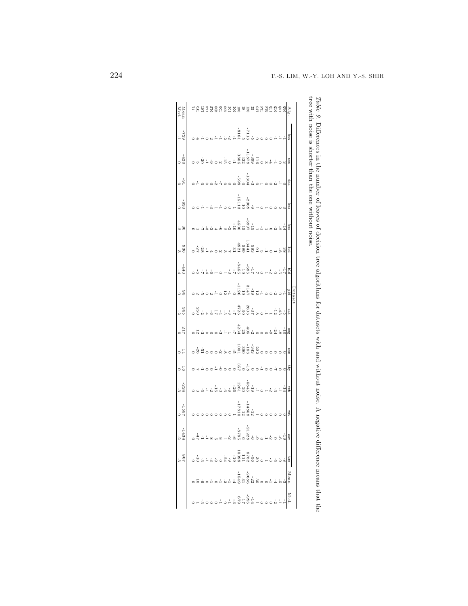|                          | $-1434$  | -1557 | $\frac{224}{3}$                                                                                                                                                                                                                                                                                                        | - ಕ               | $\overline{C}$          | $rac{217}{117}$                                                                                                    | 35<br>53                                                                                                                                                                                                                                                                                                                              | ់ ចំ                                              | $-440$                                                                     | 936<br>0 3 | $rac{30}{9}$       | $-833$                                               | $rac{6}{10}$           | $-420$                    | $-729$                       | Mean<br>Med. |
|--------------------------|----------|-------|------------------------------------------------------------------------------------------------------------------------------------------------------------------------------------------------------------------------------------------------------------------------------------------------------------------------|-------------------|-------------------------|--------------------------------------------------------------------------------------------------------------------|---------------------------------------------------------------------------------------------------------------------------------------------------------------------------------------------------------------------------------------------------------------------------------------------------------------------------------------|---------------------------------------------------|----------------------------------------------------------------------------|------------|--------------------|------------------------------------------------------|------------------------|---------------------------|------------------------------|--------------|
|                          |          |       |                                                                                                                                                                                                                                                                                                                        |                   |                         |                                                                                                                    |                                                                                                                                                                                                                                                                                                                                       |                                                   |                                                                            |            |                    |                                                      |                        |                           |                              |              |
|                          |          |       |                                                                                                                                                                                                                                                                                                                        |                   |                         |                                                                                                                    |                                                                                                                                                                                                                                                                                                                                       |                                                   |                                                                            |            |                    |                                                      |                        |                           |                              |              |
|                          |          |       |                                                                                                                                                                                                                                                                                                                        |                   |                         |                                                                                                                    |                                                                                                                                                                                                                                                                                                                                       |                                                   |                                                                            |            |                    |                                                      |                        |                           |                              |              |
|                          |          |       |                                                                                                                                                                                                                                                                                                                        |                   |                         |                                                                                                                    |                                                                                                                                                                                                                                                                                                                                       |                                                   |                                                                            |            |                    |                                                      |                        |                           |                              |              |
|                          |          |       |                                                                                                                                                                                                                                                                                                                        |                   |                         |                                                                                                                    | $\frac{32}{64}$ $\frac{32}{60}$                                                                                                                                                                                                                                                                                                       |                                                   | $446 - 0 +$                                                                |            |                    |                                                      |                        |                           |                              |              |
|                          |          |       |                                                                                                                                                                                                                                                                                                                        |                   |                         |                                                                                                                    |                                                                                                                                                                                                                                                                                                                                       |                                                   |                                                                            |            |                    |                                                      |                        |                           |                              |              |
|                          |          |       |                                                                                                                                                                                                                                                                                                                        |                   |                         |                                                                                                                    |                                                                                                                                                                                                                                                                                                                                       |                                                   |                                                                            |            |                    |                                                      |                        |                           |                              |              |
|                          |          |       |                                                                                                                                                                                                                                                                                                                        |                   |                         |                                                                                                                    |                                                                                                                                                                                                                                                                                                                                       |                                                   |                                                                            |            |                    |                                                      |                        |                           |                              |              |
|                          |          |       | $\begin{smallmatrix} 1 & 1 & 1 & 1 \\ 2 & 3 & 1 & 1 \\ 3 & 2 & 6 & 3 \\ 4 & 3 & 6 & 3 \\ 6 & 6 & 6 & 6 \\ 7 & 8 & 8 & 6 \\ 8 & 9 & 6 & 9 \\ 9 & 10 & 10 & 10 \\ 10 & 10 & 10 & 10 \\ 11 & 10 & 10 & 10 \\ 12 & 10 & 10 & 10 \\ 13 & 10 & 10 & 10 \\ 14 & 10 & 10 & 10 \\ 15 & 10 & 10 & 10 \\ 16 & 10 & 10 & 10 \\ 17$ |                   |                         |                                                                                                                    | $\begin{smallmatrix} & 2 & 4 & 4 \\ 0 & 0 & 0 & 1 \\ 0 & 0 & 0 & 0 \\ 0 & 0 & 0 & 0 \\ 0 & 0 & 0 & 0 \\ 0 & 0 & 0 & 0 \\ 0 & 0 & 0 & 0 \\ 0 & 0 & 0 & 0 \\ 0 & 0 & 0 & 0 \\ 0 & 0 & 0 & 0 \\ 0 & 0 & 0 & 0 \\ 0 & 0 & 0 & 0 \\ 0 & 0 & 0 & 0 \\ 0 & 0 & 0 & 0 \\ 0 & 0 & 0 & 0 \\ 0 & 0 & 0 & 0 \\ 0 & 0 & 0 & 0 \\ 0 & 0 & 0 & 0 \\$ | , 요, 1<br>ㅇㅇ 1 요요 4 0 2 0 0 1 2 0 0 1 2 0 0 원 0 0 |                                                                            |            |                    |                                                      |                        |                           |                              |              |
|                          |          |       |                                                                                                                                                                                                                                                                                                                        |                   |                         |                                                                                                                    |                                                                                                                                                                                                                                                                                                                                       |                                                   |                                                                            |            |                    |                                                      |                        |                           | - 그리고 있습니다.<br>- 이 그리고 있습니다. |              |
|                          |          |       |                                                                                                                                                                                                                                                                                                                        |                   |                         | $\frac{1}{2}$                                                                                                      |                                                                                                                                                                                                                                                                                                                                       |                                                   |                                                                            |            |                    |                                                      |                        |                           |                              |              |
|                          |          |       |                                                                                                                                                                                                                                                                                                                        |                   |                         |                                                                                                                    |                                                                                                                                                                                                                                                                                                                                       |                                                   | $rac{2}{3}$<br>$rac{3}{3}$<br>$rac{3}{3}$<br>$rac{3}{3}$<br>$rac{3}{3}$    |            |                    |                                                      |                        |                           |                              |              |
|                          |          |       |                                                                                                                                                                                                                                                                                                                        | $\frac{180}{357}$ |                         |                                                                                                                    |                                                                                                                                                                                                                                                                                                                                       |                                                   |                                                                            |            |                    |                                                      |                        |                           |                              |              |
|                          |          |       |                                                                                                                                                                                                                                                                                                                        |                   | $\frac{3343601}{18001}$ | $\begin{smallmatrix} 4 & 1 & 4 \\ 1 & 1 & 1 \\ 2 & 1 & 1 \\ 2 & 3 & 2 \\ 3 & 4 & 5 \\ 4 & 6 & 6 \end{smallmatrix}$ |                                                                                                                                                                                                                                                                                                                                       |                                                   |                                                                            |            |                    |                                                      | $\frac{1304}{-598}$    |                           |                              |              |
|                          |          |       |                                                                                                                                                                                                                                                                                                                        |                   |                         |                                                                                                                    |                                                                                                                                                                                                                                                                                                                                       |                                                   |                                                                            |            |                    |                                                      |                        |                           |                              |              |
|                          |          |       |                                                                                                                                                                                                                                                                                                                        |                   |                         |                                                                                                                    |                                                                                                                                                                                                                                                                                                                                       |                                                   |                                                                            |            |                    |                                                      |                        |                           |                              |              |
|                          |          |       |                                                                                                                                                                                                                                                                                                                        |                   |                         |                                                                                                                    |                                                                                                                                                                                                                                                                                                                                       |                                                   |                                                                            |            |                    | $\frac{1}{6} + 0 +$                                  | $\circ - \circ \omega$ |                           |                              |              |
|                          |          |       | $\frac{1}{2}$                                                                                                                                                                                                                                                                                                          |                   |                         |                                                                                                                    |                                                                                                                                                                                                                                                                                                                                       |                                                   | $\frac{1}{10}$ $\frac{1}{10}$ $\frac{1}{10}$ $\frac{1}{10}$ $\frac{1}{10}$ |            |                    |                                                      |                        |                           |                              |              |
|                          |          |       |                                                                                                                                                                                                                                                                                                                        |                   |                         |                                                                                                                    |                                                                                                                                                                                                                                                                                                                                       |                                                   |                                                                            |            |                    |                                                      |                        |                           |                              |              |
|                          |          |       |                                                                                                                                                                                                                                                                                                                        |                   |                         |                                                                                                                    | $-12$                                                                                                                                                                                                                                                                                                                                 |                                                   |                                                                            |            |                    |                                                      |                        |                           |                              |              |
|                          |          |       |                                                                                                                                                                                                                                                                                                                        |                   |                         | $-1 - 8$                                                                                                           | $-43$                                                                                                                                                                                                                                                                                                                                 |                                                   |                                                                            |            |                    |                                                      |                        |                           |                              |              |
|                          |          |       |                                                                                                                                                                                                                                                                                                                        |                   |                         |                                                                                                                    |                                                                                                                                                                                                                                                                                                                                       |                                                   |                                                                            |            |                    |                                                      |                        |                           |                              |              |
|                          |          | 10A   | veh                                                                                                                                                                                                                                                                                                                    | Ę                 | Smc                     | Seg                                                                                                                | sat                                                                                                                                                                                                                                                                                                                                   | pŗd                                               |                                                                            | Ted        | sog                | hea                                                  | ę                      | cmc                       | pcu                          |              |
|                          |          |       |                                                                                                                                                                                                                                                                                                                        |                   |                         |                                                                                                                    |                                                                                                                                                                                                                                                                                                                                       | Jatas                                             |                                                                            |            |                    |                                                      |                        |                           |                              |              |
|                          |          |       |                                                                                                                                                                                                                                                                                                                        |                   |                         |                                                                                                                    |                                                                                                                                                                                                                                                                                                                                       |                                                   |                                                                            |            |                    |                                                      |                        |                           |                              |              |
|                          |          |       |                                                                                                                                                                                                                                                                                                                        |                   |                         |                                                                                                                    |                                                                                                                                                                                                                                                                                                                                       |                                                   |                                                                            |            |                    |                                                      |                        |                           |                              |              |
|                          |          |       |                                                                                                                                                                                                                                                                                                                        |                   |                         |                                                                                                                    |                                                                                                                                                                                                                                                                                                                                       |                                                   |                                                                            |            | one without noise. |                                                      |                        | noise is shorter than the |                              |              |
| ifference means that the | negative |       | noise.                                                                                                                                                                                                                                                                                                                 | without           | with and                |                                                                                                                    | for datasets                                                                                                                                                                                                                                                                                                                          | algoritmins                                       |                                                                            |            |                    | Ultrerences in the number of leaves of decision tree |                        |                           |                              |              |
|                          |          |       |                                                                                                                                                                                                                                                                                                                        |                   |                         |                                                                                                                    |                                                                                                                                                                                                                                                                                                                                       |                                                   |                                                                            |            |                    |                                                      |                        |                           |                              |              |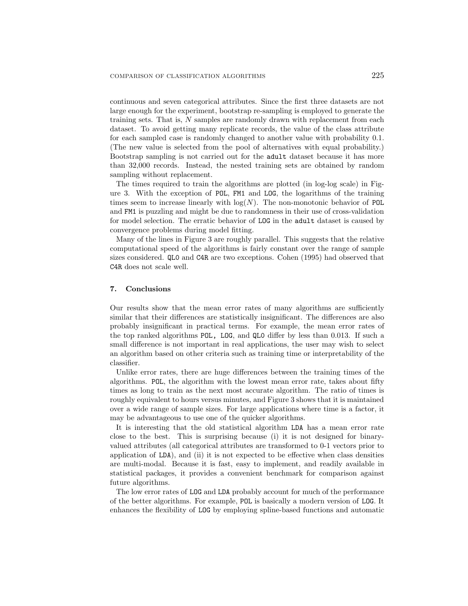continuous and seven categorical attributes. Since the first three datasets are not large enough for the experiment, bootstrap re-sampling is employed to generate the training sets. That is,  $N$  samples are randomly drawn with replacement from each dataset. To avoid getting many replicate records, the value of the class attribute for each sampled case is randomly changed to another value with probability 0.1. (The new value is selected from the pool of alternatives with equal probability.) Bootstrap sampling is not carried out for the adult dataset because it has more than 32,000 records. Instead, the nested training sets are obtained by random sampling without replacement.

The times required to train the algorithms are plotted (in log-log scale) in Figure 3. With the exception of POL, FM1 and LOG, the logarithms of the training times seem to increase linearly with  $log(N)$ . The non-monotonic behavior of POL and FM1 is puzzling and might be due to randomness in their use of cross-validation for model selection. The erratic behavior of LOG in the adult dataset is caused by convergence problems during model fitting.

Many of the lines in Figure 3 are roughly parallel. This suggests that the relative computational speed of the algorithms is fairly constant over the range of sample sizes considered. QL0 and C4R are two exceptions. Cohen (1995) had observed that C4R does not scale well.

# **7. Conclusions**

Our results show that the mean error rates of many algorithms are sufficiently similar that their differences are statistically insignificant. The differences are also probably insignificant in practical terms. For example, the mean error rates of the top ranked algorithms POL, LOG, and QL0 differ by less than 0.013. If such a small difference is not important in real applications, the user may wish to select an algorithm based on other criteria such as training time or interpretability of the classifier.

Unlike error rates, there are huge differences between the training times of the algorithms. POL, the algorithm with the lowest mean error rate, takes about fifty times as long to train as the next most accurate algorithm. The ratio of times is roughly equivalent to hours versus minutes, and Figure 3 shows that it is maintained over a wide range of sample sizes. For large applications where time is a factor, it may be advantageous to use one of the quicker algorithms.

It is interesting that the old statistical algorithm LDA has a mean error rate close to the best. This is surprising because (i) it is not designed for binaryvalued attributes (all categorical attributes are transformed to 0-1 vectors prior to application of LDA), and (ii) it is not expected to be effective when class densities are multi-modal. Because it is fast, easy to implement, and readily available in statistical packages, it provides a convenient benchmark for comparison against future algorithms.

The low error rates of LOG and LDA probably account for much of the performance of the better algorithms. For example, POL is basically a modern version of LOG. It enhances the flexibility of LOG by employing spline-based functions and automatic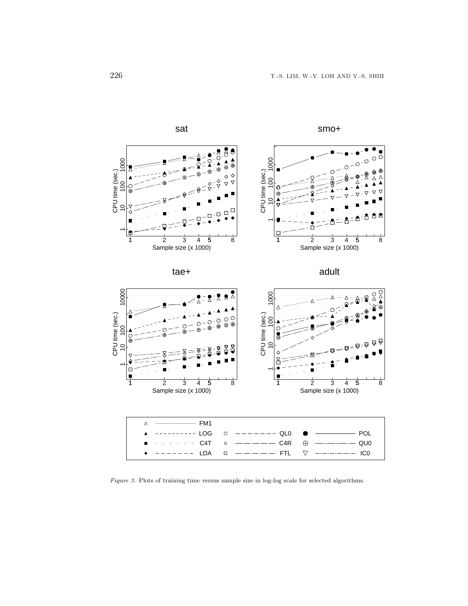

smo+



Figure 3. Plots of training time versus sample size in log-log scale for selected algorithms.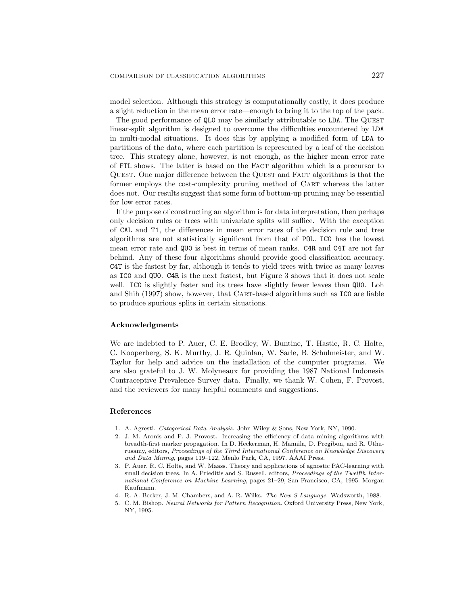model selection. Although this strategy is computationally costly, it does produce a slight reduction in the mean error rate—enough to bring it to the top of the pack.

The good performance of QL0 may be similarly attributable to LDA. The QUEST linear-split algorithm is designed to overcome the difficulties encountered by LDA in multi-modal situations. It does this by applying a modified form of LDA to partitions of the data, where each partition is represented by a leaf of the decision tree. This strategy alone, however, is not enough, as the higher mean error rate of FTL shows. The latter is based on the Fact algorithm which is a precursor to Quest. One major difference between the Quest and Fact algorithms is that the former employs the cost-complexity pruning method of CART whereas the latter does not. Our results suggest that some form of bottom-up pruning may be essential for low error rates.

If the purpose of constructing an algorithm is for data interpretation, then perhaps only decision rules or trees with univariate splits will suffice. With the exception of CAL and T1, the differences in mean error rates of the decision rule and tree algorithms are not statistically significant from that of POL. IC0 has the lowest mean error rate and QU0 is best in terms of mean ranks. C4R and C4T are not far behind. Any of these four algorithms should provide good classification accuracy. C4T is the fastest by far, although it tends to yield trees with twice as many leaves as IC0 and QU0. C4R is the next fastest, but Figure 3 shows that it does not scale well. ICO is slightly faster and its trees have slightly fewer leaves than QUO. Loh and Shih (1997) show, however, that CART-based algorithms such as ICO are liable to produce spurious splits in certain situations.

# **Acknowledgments**

We are indebted to P. Auer, C. E. Brodley, W. Buntine, T. Hastie, R. C. Holte, C. Kooperberg, S. K. Murthy, J. R. Quinlan, W. Sarle, B. Schulmeister, and W. Taylor for help and advice on the installation of the computer programs. We are also grateful to J. W. Molyneaux for providing the 1987 National Indonesia Contraceptive Prevalence Survey data. Finally, we thank W. Cohen, F. Provost, and the reviewers for many helpful comments and suggestions.

### **References**

- 1. A. Agresti. Categorical Data Analysis. John Wiley & Sons, New York, NY, 1990.
- 2. J. M. Aronis and F. J. Provost. Increasing the efficiency of data mining algorithms with breadth-first marker propagation. In D. Heckerman, H. Mannila, D. Pregibon, and R. Uthurusamy, editors, Proceedings of the Third International Conference on Knowledge Discovery and Data Mining, pages 119–122, Menlo Park, CA, 1997. AAAI Press.
- 3. P. Auer, R. C. Holte, and W. Maass. Theory and applications of agnostic PAC-learning with small decision trees. In A. Prieditis and S. Russell, editors, Proceedings of the Twelfth International Conference on Machine Learning, pages 21–29, San Francisco, CA, 1995. Morgan Kaufmann.
- 4. R. A. Becker, J. M. Chambers, and A. R. Wilks. The New S Language. Wadsworth, 1988.
- 5. C. M. Bishop. Neural Networks for Pattern Recognition. Oxford University Press, New York, NY, 1995.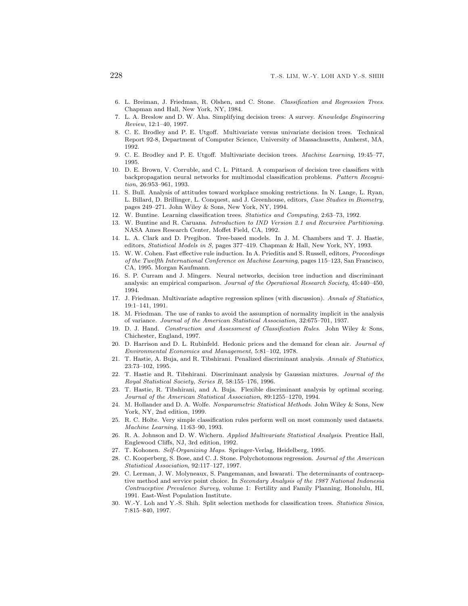- 6. L. Breiman, J. Friedman, R. Olshen, and C. Stone. Classification and Regression Trees. Chapman and Hall, New York, NY, 1984.
- 7. L. A. Breslow and D. W. Aha. Simplifying decision trees: A survey. Knowledge Engineering Review, 12:1–40, 1997.
- 8. C. E. Brodley and P. E. Utgoff. Multivariate versus univariate decision trees. Technical Report 92-8, Department of Computer Science, University of Massachusetts, Amherst, MA, 1992.
- 9. C. E. Brodley and P. E. Utgoff. Multivariate decision trees. Machine Learning, 19:45–77, 1995.
- 10. D. E. Brown, V. Corruble, and C. L. Pittard. A comparison of decision tree classifiers with backpropagation neural networks for multimodal classification problems. Pattern Recognition, 26:953–961, 1993.
- 11. S. Bull. Analysis of attitudes toward workplace smoking restrictions. In N. Lange, L. Ryan, L. Billard, D. Brillinger, L. Conquest, and J. Greenhouse, editors, Case Studies in Biometry, pages 249–271. John Wiley & Sons, New York, NY, 1994.
- 12. W. Buntine. Learning classification trees. Statistics and Computing, 2:63–73, 1992.
- 13. W. Buntine and R. Caruana. Introduction to IND Version 2.1 and Recursive Partitioning. NASA Ames Research Center, Moffet Field, CA, 1992.
- 14. L. A. Clark and D. Pregibon. Tree-based models. In J. M. Chambers and T. J. Hastie, editors, Statistical Models in S, pages 377–419. Chapman & Hall, New York, NY, 1993.
- 15. W. W. Cohen. Fast effective rule induction. In A. Prieditis and S. Russell, editors, Proceedings of the Twelfth International Conference on Machine Learning, pages 115–123, San Francisco, CA, 1995. Morgan Kaufmann.
- 16. S. P. Curram and J. Mingers. Neural networks, decision tree induction and discriminant analysis: an empirical comparison. Journal of the Operational Research Society, 45:440–450, 1994.
- 17. J. Friedman. Multivariate adaptive regression splines (with discussion). Annals of Statistics, 19:1–141, 1991.
- 18. M. Friedman. The use of ranks to avoid the assumption of normality implicit in the analysis of variance. Journal of the American Statistical Association, 32:675–701, 1937.
- 19. D. J. Hand. Construction and Assessment of Classification Rules. John Wiley & Sons, Chichester, England, 1997.
- 20. D. Harrison and D. L. Rubinfeld. Hedonic prices and the demand for clean air. Journal of Environmental Economics and Management, 5:81–102, 1978.
- 21. T. Hastie, A. Buja, and R. Tibshirani. Penalized discriminant analysis. Annals of Statistics, 23:73–102, 1995.
- 22. T. Hastie and R. Tibshirani. Discriminant analysis by Gaussian mixtures. Journal of the Royal Statistical Society, Series B, 58:155–176, 1996.
- 23. T. Hastie, R. Tibshirani, and A. Buja. Flexible discriminant analysis by optimal scoring. Journal of the American Statistical Association, 89:1255–1270, 1994.
- 24. M. Hollander and D. A. Wolfe. Nonparametric Statistical Methods. John Wiley & Sons, New York, NY, 2nd edition, 1999.
- 25. R. C. Holte. Very simple classification rules perform well on most commonly used datasets. Machine Learning, 11:63–90, 1993.
- 26. R. A. Johnson and D. W. Wichern. Applied Multivariate Statistical Analysis. Prentice Hall, Englewood Cliffs, NJ, 3rd edition, 1992.
- 27. T. Kohonen. Self-Organizing Maps. Springer-Verlag, Heidelberg, 1995.
- 28. C. Kooperberg, S. Bose, and C. J. Stone. Polychotomous regression. Journal of the American Statistical Association, 92:117–127, 1997.
- 29. C. Lerman, J. W. Molyneaux, S. Pangemanan, and Iswarati. The determinants of contraceptive method and service point choice. In Secondary Analysis of the 1987 National Indonesia Contraceptive Prevalence Survey, volume 1: Fertility and Family Planning, Honolulu, HI, 1991. East-West Population Institute.
- 30. W.-Y. Loh and Y.-S. Shih. Split selection methods for classification trees. Statistica Sinica, 7:815–840, 1997.